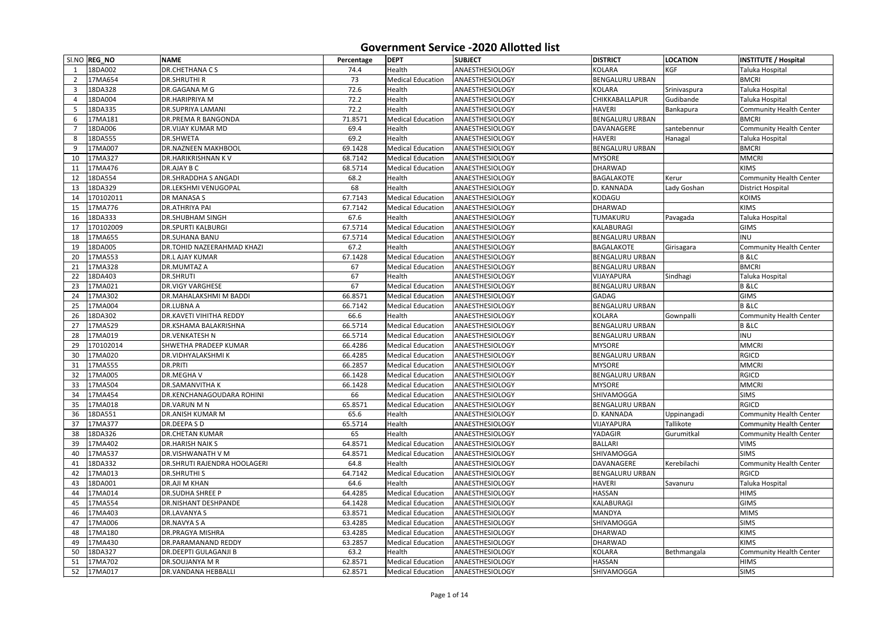| SI.NO REG_NO              | <b>NAME</b>                                        | Percentage    | <b>DEPT</b>                        | <b>SUBJECT</b>                            | <b>DISTRICT</b>        | <b>LOCATION</b>          | <b>INSTITUTE / Hospital</b>    |
|---------------------------|----------------------------------------------------|---------------|------------------------------------|-------------------------------------------|------------------------|--------------------------|--------------------------------|
| 18DA002                   | <b>DR.CHETHANACS</b>                               | 74.4          | Health                             | ANAESTHESIOLOGY                           | <b>KOLARA</b>          | <b>KGF</b>               | Taluka Hospital                |
| 17MA654<br>$\overline{2}$ | <b>DR.SHRUTHI R</b>                                | 73            | <b>Medical Education</b>           | ANAESTHESIOLOGY                           | <b>BENGALURU URBAN</b> |                          | <b>BMCRI</b>                   |
| 18DA328<br>3              | DR.GAGANA M G                                      | 72.6          | Health                             | <b>ANAESTHESIOLOGY</b>                    | <b>KOLARA</b>          | Srinivaspura             | Taluka Hospital                |
| 18DA004                   | DR.HARIPRIYA M                                     | 72.2          | Health                             | ANAESTHESIOLOGY                           | CHIKKABALLAPUR         | Gudibande                | Taluka Hospital                |
| 18DA335<br>5              | <b>DR.SUPRIYA LAMANI</b>                           | 72.2          | Health                             | ANAESTHESIOLOGY                           | <b>HAVERI</b>          | Bankapura                | <b>Community Health Center</b> |
| 17MA181<br>6              | <b>DR.PREMA R BANGONDA</b>                         | 71.8571       | <b>Medical Education</b>           | ANAESTHESIOLOGY                           | <b>BENGALURU URBAN</b> |                          | <b>BMCRI</b>                   |
| 18DA006                   | <b>DR.VIJAY KUMAR MD</b>                           | 69.4          | Health                             | ANAESTHESIOLOGY                           | DAVANAGERE             | santebennur              | <b>Community Health Center</b> |
| 18DA555<br>8              | <b>DR.SHWETA</b>                                   | 69.2          | Health                             | <b>ANAESTHESIOLOGY</b>                    | <b>HAVERI</b>          | Hanagal                  | Taluka Hospital                |
| 17MA007<br>9              | <b>DR.NAZNEEN MAKHBOOL</b>                         | 69.1428       | <b>Medical Education</b>           | ANAESTHESIOLOGY                           | <b>BENGALURU URBAN</b> |                          | <b>BMCRI</b>                   |
| 10<br>17MA327             | <b>DR.HARIKRISHNAN KV</b>                          | 68.7142       | <b>Medical Education</b>           | ANAESTHESIOLOGY                           | <b>MYSORE</b>          |                          | <b>MMCRI</b>                   |
| 17MA476<br>11             | DR.AJAY B C                                        | 68.5714       | <b>Medical Education</b>           | ANAESTHESIOLOGY                           | <b>DHARWAD</b>         |                          | <b>KIMS</b>                    |
| 18DA554<br>12             | <b>DR.SHRADDHA S ANGADI</b>                        | 68.2          | Health                             | ANAESTHESIOLOGY                           | <b>BAGALAKOTE</b>      | Kerur                    | <b>Community Health Center</b> |
| 18DA329<br>13             | <b>DR.LEKSHMI VENUGOPAL</b>                        | 68            | Health                             | <b>ANAESTHESIOLOGY</b>                    | D. KANNADA             | Lady Goshan              | <b>District Hospital</b>       |
| 170102011<br>14           | <b>DR MANASA S</b>                                 | 67.7143       | <b>Medical Education</b>           | ANAESTHESIOLOGY                           | KODAGU                 |                          | <b>KOIMS</b>                   |
| 15<br>17MA776             | <b>DR.ATHRIYA PAI</b>                              | 67.7142       | <b>Medical Education</b>           | ANAESTHESIOLOGY                           | <b>DHARWAD</b>         |                          | <b>KIMS</b>                    |
| 18DA333<br>16             | <b>DR.SHUBHAM SINGH</b>                            | 67.6          | Health                             | ANAESTHESIOLOGY                           | TUMAKURU               | Pavagada                 | Taluka Hospital                |
| 170102009<br>17           | <b>DR.SPURTI KALBURGI</b>                          | 67.5714       | <b>Medical Education</b>           | ANAESTHESIOLOGY                           | KALABURAGI             |                          | <b>GIMS</b>                    |
| 17MA655<br>18             | <b>DR.SUHANA BANU</b>                              | 67.5714       | <b>Medical Education</b>           | <b>ANAESTHESIOLOGY</b>                    | <b>BENGALURU URBAN</b> |                          | <b>INU</b>                     |
| 18DA005<br>19             | <b>DR.TOHID NAZEERAHMAD KHAZI</b>                  | 67.2          | Health                             | ANAESTHESIOLOGY                           | BAGALAKOTE             | Girisagara               | <b>Community Health Center</b> |
| 17MA553<br>20             | <b>DR.L AJAY KUMAR</b>                             | 67.1428       | <b>Medical Education</b>           | ANAESTHESIOLOGY                           | <b>BENGALURU URBAN</b> |                          | <b>B</b> & LC                  |
| 17MA328<br>21             | <b>DR.MUMTAZ A</b>                                 | 67            | <b>Medical Education</b>           | ANAESTHESIOLOGY                           | <b>BENGALURU URBAN</b> |                          | <b>BMCRI</b>                   |
| 22<br>18DA403             | <b>DR.SHRUTI</b>                                   | 67            | Health                             | <b>ANAESTHESIOLOGY</b>                    | VIJAYAPURA             | Sindhagi                 | Taluka Hospital                |
| 23<br>17MA021             | <b>DR.VIGY VARGHESE</b>                            | 67            | <b>Medical Education</b>           | <b>ANAESTHESIOLOGY</b>                    | <b>BENGALURU URBAN</b> |                          | <b>B</b> & LC                  |
| 17MA302<br>24             | <b>DR.MAHALAKSHMI M BADDI</b>                      | 66.8571       | <b>Medical Education</b>           | ANAESTHESIOLOGY                           | <b>GADAG</b>           |                          | <b>GIMS</b>                    |
| 17MA004<br>25             | DR.LUBNA A                                         | 66.7142       | <b>Medical Education</b>           | ANAESTHESIOLOGY                           | <b>BENGALURU URBAN</b> |                          | <b>B</b> & LC                  |
| 26<br>18DA302             | <b>DR.KAVETI VIHITHA REDDY</b>                     | 66.6          | Health                             | ANAESTHESIOLOGY                           | <b>KOLARA</b>          | Gownpalli                | <b>Community Health Center</b> |
| 27<br>17MA529             | DR.KSHAMA BALAKRISHNA                              | 66.5714       | <b>Medical Education</b>           | ANAESTHESIOLOGY                           | <b>BENGALURU URBAN</b> |                          | <b>B</b> & LC                  |
| 28<br>17MA019             | <b>DR.VENKATESH N</b>                              | 66.5714       | <b>Medical Education</b>           | <b>ANAESTHESIOLOGY</b>                    | <b>BENGALURU URBAN</b> |                          | INU                            |
| 170102014<br>29           | SHWETHA PRADEEP KUMAR                              | 66.4286       | <b>Medical Education</b>           | ANAESTHESIOLOGY                           | <b>MYSORE</b>          |                          | <b>MMCRI</b>                   |
| 30<br>17MA020             | DR.VIDHYALAKSHMI K                                 | 66.4285       | <b>Medical Education</b>           | ANAESTHESIOLOGY                           | <b>BENGALURU URBAN</b> |                          | <b>RGICD</b>                   |
| 17MA555<br>31             | <b>DR.PRITI</b>                                    | 66.2857       | <b>Medical Education</b>           | ANAESTHESIOLOGY                           | <b>MYSORE</b>          |                          | <b>MMCRI</b>                   |
| 17MA005<br>32             | <b>DR.MEGHAV</b>                                   | 66.1428       | <b>Medical Education</b>           | ANAESTHESIOLOGY                           | <b>BENGALURU URBAN</b> |                          | <b>RGICD</b>                   |
| 17MA504                   |                                                    |               | <b>Medical Education</b>           | ANAESTHESIOLOGY                           | <b>MYSORE</b>          |                          | <b>MMCRI</b>                   |
| 33<br>17MA454             | <b>DR.SAMANVITHAK</b><br>DR.KENCHANAGOUDARA ROHINI | 66.1428<br>66 | <b>Medical Education</b>           | ANAESTHESIOLOGY                           | <b>SHIVAMOGGA</b>      |                          | <b>SIMS</b>                    |
| 34<br>17MA018             | DR.VARUN M N                                       |               | <b>Medical Education</b>           | ANAESTHESIOLOGY                           | <b>BENGALURU URBAN</b> |                          | <b>RGICD</b>                   |
| 35<br>36<br>18DA551       | DR.ANISH KUMAR M                                   | 65.8571       | Health                             | <b>ANAESTHESIOLOGY</b>                    | D. KANNADA             |                          | <b>Community Health Center</b> |
| 17MA377                   | DR.DEEPASD                                         | 65.6          | Health                             | <b>ANAESTHESIOLOGY</b>                    | VIJAYAPURA             | Uppinangadi<br>Tallikote | <b>Community Health Center</b> |
| 37<br>18DA326             |                                                    | 65.5714       |                                    |                                           | YADAGIR                |                          |                                |
| 38                        | <b>DR.CHETAN KUMAR</b><br><b>DR.HARISH NAIK S</b>  | 65            | Health<br><b>Medical Education</b> | <b>ANAESTHESIOLOGY</b><br>ANAESTHESIOLOGY | <b>BALLARI</b>         | Gurumitkal               | <b>Community Health Center</b> |
| 39<br>17MA402             |                                                    | 64.8571       |                                    |                                           |                        |                          | <b>VIMS</b>                    |
| 17MA537<br>40             | DR.VISHWANATH V M                                  | 64.8571       | <b>Medical Education</b>           | ANAESTHESIOLOGY                           | <b>SHIVAMOGGA</b>      |                          | <b>SIMS</b>                    |
| 18DA332<br>41             | DR.SHRUTI RAJENDRA HOOLAGERI                       | 64.8          | Health                             | <b>ANAESTHESIOLOGY</b>                    | DAVANAGERE             | Kerebilachi              | <b>Community Health Center</b> |
| 17MA013<br>42             | <b>DR.SHRUTHIS</b>                                 | 64.7142       | <b>Medical Education</b>           | ANAESTHESIOLOGY                           | <b>BENGALURU URBAN</b> |                          | <b>RGICD</b>                   |
| 18DA001<br>43             | DR.AJI M KHAN                                      | 64.6          | Health                             | ANAESTHESIOLOGY                           | <b>HAVERI</b>          | Savanuru                 | Taluka Hospital                |
| 44<br>17MA014             | <b>DR.SUDHA SHREE P</b>                            | 64.4285       | <b>Medical Education</b>           | ANAESTHESIOLOGY                           | <b>HASSAN</b>          |                          | <b>HIMS</b>                    |
| 45<br>17MA554             | <b>DR.NISHANT DESHPANDE</b>                        | 64.1428       | <b>Medical Education</b>           | ANAESTHESIOLOGY                           | KALABURAGI             |                          | <b>GIMS</b>                    |
| 17MA403<br>46             | DR.LAVANYA S                                       | 63.8571       | <b>Medical Education</b>           | ANAESTHESIOLOGY                           | <b>MANDYA</b>          |                          | <b>MIMS</b>                    |
| 17MA006<br>47             | DR.NAVYA S A                                       | 63.4285       | <b>Medical Education</b>           | ANAESTHESIOLOGY                           | <b>SHIVAMOGGA</b>      |                          | <b>SIMS</b>                    |
| 17MA180<br>48             | <b>DR.PRAGYA MISHRA</b>                            | 63.4285       | <b>Medical Education</b>           | ANAESTHESIOLOGY                           | <b>DHARWAD</b>         |                          | <b>KIMS</b>                    |
| 17MA430<br>49             | DR.PARAMANAND REDDY                                | 63.2857       | <b>Medical Education</b>           | ANAESTHESIOLOGY                           | <b>DHARWAD</b>         |                          | <b>KIMS</b>                    |
| 18DA327<br>50             | <b>DR.DEEPTI GULAGANJI B</b>                       | 63.2          | Health                             | ANAESTHESIOLOGY                           | <b>KOLARA</b>          | Bethmangala              | <b>Community Health Center</b> |
| 17MA702<br>51             | DR.SOUJANYA M R                                    | 62.8571       | <b>Medical Education</b>           | ANAESTHESIOLOGY                           | <b>HASSAN</b>          |                          | <b>HIMS</b>                    |
| 52<br>17MA017             | <b>DR.VANDANA HEBBALLI</b>                         | 62.8571       | <b>Medical Education</b>           | ANAESTHESIOLOGY                           | SHIVAMOGGA             |                          | <b>SIMS</b>                    |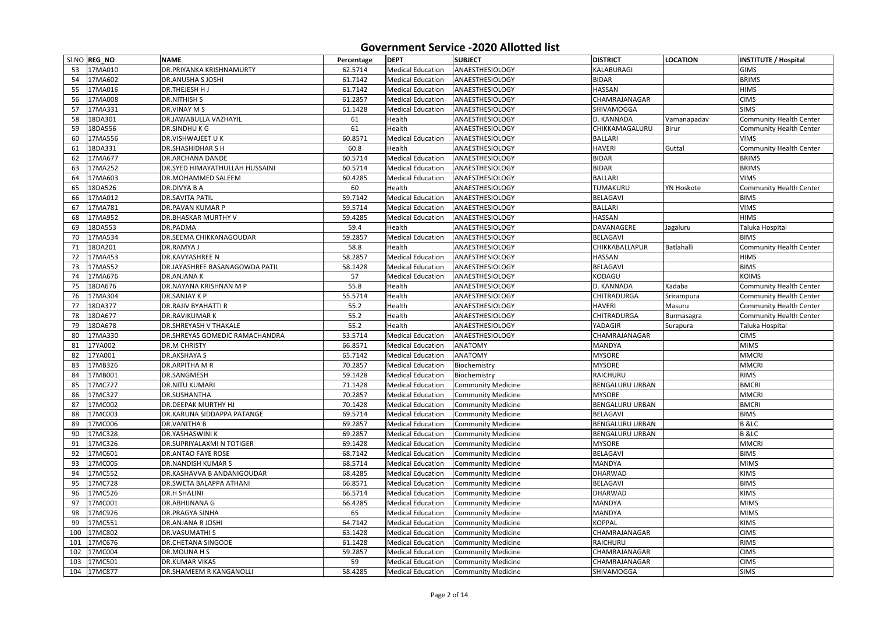| SI.NO REG_NO<br>17MA010<br><b>DR.PRIYANKA KRISHNAMURTY</b><br><b>ANAESTHESIOLOGY</b><br><b>KALABURAGI</b><br>53<br>62.5714<br><b>Medical Education</b><br><b>GIMS</b><br>17MA602<br><b>BIDAR</b><br>54<br><b>Medical Education</b><br><b>BRIMS</b><br><b>DR.ANUSHA S JOSHI</b><br>61.7142<br>ANAESTHESIOLOGY<br>17MA016<br><b>HASSAN</b><br>55<br><b>DR.THEJESH HJ</b><br>61.7142<br><b>ANAESTHESIOLOGY</b><br><b>HIMS</b><br><b>Medical Education</b><br><b>7MA008</b><br>56<br>61.2857<br>CHAMRAJANAGAR<br><b>CIMS</b><br><b>DR.NITHISH S</b><br><b>Medical Education</b><br><b>ANAESTHESIOLOGY</b><br>17MA331<br>57<br>DR.VINAY M S<br><b>Medical Education</b><br>ANAESTHESIOLOGY<br>SHIVAMOGGA<br><b>SIMS</b><br>61.1428 |  |
|-------------------------------------------------------------------------------------------------------------------------------------------------------------------------------------------------------------------------------------------------------------------------------------------------------------------------------------------------------------------------------------------------------------------------------------------------------------------------------------------------------------------------------------------------------------------------------------------------------------------------------------------------------------------------------------------------------------------------------|--|
|                                                                                                                                                                                                                                                                                                                                                                                                                                                                                                                                                                                                                                                                                                                               |  |
|                                                                                                                                                                                                                                                                                                                                                                                                                                                                                                                                                                                                                                                                                                                               |  |
|                                                                                                                                                                                                                                                                                                                                                                                                                                                                                                                                                                                                                                                                                                                               |  |
|                                                                                                                                                                                                                                                                                                                                                                                                                                                                                                                                                                                                                                                                                                                               |  |
|                                                                                                                                                                                                                                                                                                                                                                                                                                                                                                                                                                                                                                                                                                                               |  |
| 58<br>18DA301<br>DR.JAWABULLA VAZHAYIL<br>D. KANNADA<br><b>Community Health Center</b><br>61<br>Health<br><b>ANAESTHESIOLOGY</b><br>Vamanapadav                                                                                                                                                                                                                                                                                                                                                                                                                                                                                                                                                                               |  |
| 61<br>59<br>18DA556<br>DR.SINDHUKG<br>Health<br>ANAESTHESIOLOGY<br>CHIKKAMAGALURU<br><b>Birur</b><br><b>Community Health Center</b>                                                                                                                                                                                                                                                                                                                                                                                                                                                                                                                                                                                           |  |
| 17MA556<br><b>DR.VISHWAJEET UK</b><br>60.8571<br><b>BALLARI</b><br><b>VIMS</b><br>60<br><b>Medical Education</b><br><b>ANAESTHESIOLOGY</b>                                                                                                                                                                                                                                                                                                                                                                                                                                                                                                                                                                                    |  |
| Guttal<br>18DA331<br>60.8<br><b>HAVERI</b><br><b>Community Health Center</b><br><b>DR.SHASHIDHAR S H</b><br>Health<br><b>ANAESTHESIOLOGY</b><br>61                                                                                                                                                                                                                                                                                                                                                                                                                                                                                                                                                                            |  |
| 62<br>17MA677<br><b>Medical Education</b><br><b>BIDAR</b><br><b>DR.ARCHANA DANDE</b><br>60.5714<br><b>ANAESTHESIOLOGY</b><br><b>BRIMS</b>                                                                                                                                                                                                                                                                                                                                                                                                                                                                                                                                                                                     |  |
| <b>BIDAR</b><br>17MA252<br><b>BRIMS</b><br>63<br><b>DR.SYED HIMAYATHULLAH HUSSAINI</b><br><b>ANAESTHESIOLOGY</b><br>60.5714<br><b>Medical Education</b>                                                                                                                                                                                                                                                                                                                                                                                                                                                                                                                                                                       |  |
| 17MA603<br><b>BALLARI</b><br><b>VIMS</b><br>DR.MOHAMMED SALEEM<br>60.4285<br><b>Medical Education</b><br><b>ANAESTHESIOLOGY</b><br>64                                                                                                                                                                                                                                                                                                                                                                                                                                                                                                                                                                                         |  |
| 18DA526<br>60<br>65<br>DR.DIVYA B A<br>Health<br>ANAESTHESIOLOGY<br><b>TUMAKURU</b><br><b>YN Hoskote</b><br><b>Community Health Center</b>                                                                                                                                                                                                                                                                                                                                                                                                                                                                                                                                                                                    |  |
| <b>BELAGAVI</b><br>17MA012<br><b>DR.SAVITA PATIL</b><br>59.7142<br><b>Medical Education</b><br><b>BIMS</b><br>66<br><b>ANAESTHESIOLOGY</b>                                                                                                                                                                                                                                                                                                                                                                                                                                                                                                                                                                                    |  |
| <b>BALLARI</b><br>67<br>17MA781<br>59.5714<br><b>Medical Education</b><br><b>ANAESTHESIOLOGY</b><br><b>VIMS</b><br>DR.PAVAN KUMAR P                                                                                                                                                                                                                                                                                                                                                                                                                                                                                                                                                                                           |  |
| 17MA952<br><b>HASSAN</b><br><b>HIMS</b><br>68<br><b>DR.BHASKAR MURTHY V</b><br>59.4285<br><b>Medical Education</b><br><b>ANAESTHESIOLOGY</b>                                                                                                                                                                                                                                                                                                                                                                                                                                                                                                                                                                                  |  |
| 18DA553<br>69<br><b>DR.PADMA</b><br>59.4<br>Health<br><b>ANAESTHESIOLOGY</b><br>DAVANAGERE<br>Taluka Hospital<br>Jagaluru                                                                                                                                                                                                                                                                                                                                                                                                                                                                                                                                                                                                     |  |
| 70<br>17MA534<br><b>BELAGAVI</b><br><b>BIMS</b><br><b>DR.SEEMA CHIKKANAGOUDAR</b><br>59.2857<br><b>Medical Education</b><br><b>ANAESTHESIOLOGY</b>                                                                                                                                                                                                                                                                                                                                                                                                                                                                                                                                                                            |  |
| Batlahalli<br><b>Community Health Center</b><br>18DA201<br><b>DR.RAMYA J</b><br>58.8<br>Health<br><b>CHIKKABALLAPUR</b><br>71<br>ANAESTHESIOLOGY                                                                                                                                                                                                                                                                                                                                                                                                                                                                                                                                                                              |  |
| <b>HASSAN</b><br>17MA453<br><b>DR.KAVYASHREE N</b><br>58.2857<br><b>Medical Education</b><br><b>HIMS</b><br>72<br>ANAESTHESIOLOGY                                                                                                                                                                                                                                                                                                                                                                                                                                                                                                                                                                                             |  |
| 17MA552<br>73<br>DR.JAYASHREE BASANAGOWDA PATIL<br><b>BELAGAVI</b><br><b>BIMS</b><br>58.1428<br><b>Medical Education</b><br>ANAESTHESIOLOGY                                                                                                                                                                                                                                                                                                                                                                                                                                                                                                                                                                                   |  |
| 17MA676<br>57<br>KODAGU<br><b>KOIMS</b><br>74<br><b>DR.ANJANAK</b><br><b>Medical Education</b><br><b>ANAESTHESIOLOGY</b>                                                                                                                                                                                                                                                                                                                                                                                                                                                                                                                                                                                                      |  |
| Kadaba<br>75<br>18DA676<br>DR.NAYANA KRISHNAN M P<br>55.8<br>Health<br>ANAESTHESIOLOGY<br>D. KANNADA<br><b>Community Health Center</b>                                                                                                                                                                                                                                                                                                                                                                                                                                                                                                                                                                                        |  |
| 17MA304<br><b>CHITRADURGA</b><br>76<br><b>DR.SANJAY K P</b><br>55.5714<br>Health<br>ANAESTHESIOLOGY<br>Srirampura<br>Community Health Center                                                                                                                                                                                                                                                                                                                                                                                                                                                                                                                                                                                  |  |
| 18DA377<br>Health<br><b>HAVERI</b><br>77<br><b>DR.RAJIV BYAHATTI R</b><br>55.2<br>ANAESTHESIOLOGY<br>Masuru<br><b>Community Health Center</b>                                                                                                                                                                                                                                                                                                                                                                                                                                                                                                                                                                                 |  |
| 78<br>18DA677<br><b>DR.RAVIKUMARK</b><br>55.2<br>Health<br>ANAESTHESIOLOGY<br>CHITRADURGA<br><b>Community Health Center</b><br>Burmasagra                                                                                                                                                                                                                                                                                                                                                                                                                                                                                                                                                                                     |  |
| 18DA678<br>Health<br>YADAGIR<br>79<br><b>DR.SHREYASH V THAKALE</b><br>55.2<br>ANAESTHESIOLOGY<br>Taluka Hospital<br>Surapura                                                                                                                                                                                                                                                                                                                                                                                                                                                                                                                                                                                                  |  |
| 17MA330<br><b>CIMS</b><br>80<br>DR.SHREYAS GOMEDIC RAMACHANDRA<br>53.5714<br><b>Medical Education</b><br><b>ANAESTHESIOLOGY</b><br>CHAMRAJANAGAR                                                                                                                                                                                                                                                                                                                                                                                                                                                                                                                                                                              |  |
| 17YA002<br><b>DR.M CHRISTY</b><br>66.8571<br><b>ANATOMY</b><br><b>MANDYA</b><br><b>MIMS</b><br>81<br><b>Medical Education</b>                                                                                                                                                                                                                                                                                                                                                                                                                                                                                                                                                                                                 |  |
| 17YA001<br><b>ANATOMY</b><br><b>MYSORE</b><br><b>MMCRI</b><br>82<br><b>DR.AKSHAYA S</b><br>65.7142<br><b>Medical Education</b>                                                                                                                                                                                                                                                                                                                                                                                                                                                                                                                                                                                                |  |
| 17MB326<br><b>DR.ARPITHA M R</b><br>70.2857<br><b>Medical Education</b><br><b>MYSORE</b><br><b>MMCRI</b><br>Biochemistry<br>83                                                                                                                                                                                                                                                                                                                                                                                                                                                                                                                                                                                                |  |
| 17MB001<br>RAICHURU<br><b>RIMS</b><br><b>DR.SANGMESH</b><br>59.1428<br>84<br><b>Medical Education</b><br>Biochemistry                                                                                                                                                                                                                                                                                                                                                                                                                                                                                                                                                                                                         |  |
| 17MC727<br><b>BMCRI</b><br><b>DR.NITU KUMARI</b><br><b>Medical Education</b><br><b>BENGALURU URBAN</b><br>85<br>71.1428<br><b>Community Medicine</b>                                                                                                                                                                                                                                                                                                                                                                                                                                                                                                                                                                          |  |
| 17MC327<br><b>Medical Education</b><br>86<br><b>DR.SUSHANTHA</b><br>70.2857<br><b>Community Medicine</b><br><b>MYSORE</b><br><b>MMCRI</b>                                                                                                                                                                                                                                                                                                                                                                                                                                                                                                                                                                                     |  |
| <b>BMCRI</b><br>87<br>17MC002<br><b>DR.DEEPAK MURTHY HJ</b><br><b>BENGALURU URBAN</b><br>70.1428<br><b>Medical Education</b><br><b>Community Medicine</b>                                                                                                                                                                                                                                                                                                                                                                                                                                                                                                                                                                     |  |
| 88<br>17MC003<br>DR.KARUNA SIDDAPPA PATANGE<br>69.5714<br><b>Medical Education</b><br><b>Community Medicine</b><br><b>BELAGAVI</b><br><b>BIMS</b>                                                                                                                                                                                                                                                                                                                                                                                                                                                                                                                                                                             |  |
| 17MC006<br><b>Medical Education</b><br><b>BENGALURU URBAN</b><br><b>B</b> & LC<br>89<br><b>DR.VANITHA B</b><br>69.2857<br><b>Community Medicine</b>                                                                                                                                                                                                                                                                                                                                                                                                                                                                                                                                                                           |  |
| 17MC328<br><b>B</b> &LC<br>90<br><b>DR.YASHASWINI K</b><br>69.2857<br><b>Medical Education</b><br><b>Community Medicine</b><br><b>BENGALURU URBAN</b>                                                                                                                                                                                                                                                                                                                                                                                                                                                                                                                                                                         |  |
| 91<br>17MC326<br>DR.SUPRIYALAXMI N TOTIGER<br><b>Medical Education</b><br><b>MMCRI</b><br>69.1428<br><b>Community Medicine</b><br><b>MYSORE</b>                                                                                                                                                                                                                                                                                                                                                                                                                                                                                                                                                                               |  |
| 92<br>17MC601<br><b>BELAGAVI</b><br><b>BIMS</b><br><b>Community Medicine</b><br><b>DR.ANTAO FAYE ROSE</b><br>68.7142<br><b>Medical Education</b>                                                                                                                                                                                                                                                                                                                                                                                                                                                                                                                                                                              |  |
| 17MC005<br><b>MANDYA</b><br><b>MIMS</b><br>93<br><b>DR.NANDISH KUMAR S</b><br>68.5714<br><b>Medical Education</b><br><b>Community Medicine</b>                                                                                                                                                                                                                                                                                                                                                                                                                                                                                                                                                                                |  |
| 17MC552<br>DR.KASHAVVA B ANDANIGOUDAR<br><b>Medical Education</b><br>DHARWAD<br><b>KIMS</b><br>94<br>68.4285<br><b>Community Medicine</b>                                                                                                                                                                                                                                                                                                                                                                                                                                                                                                                                                                                     |  |
| 17MC728<br><b>BELAGAVI</b><br><b>BIMS</b><br>95<br><b>DR.SWETA BALAPPA ATHANI</b><br>66.8571<br><b>Medical Education</b><br><b>Community Medicine</b>                                                                                                                                                                                                                                                                                                                                                                                                                                                                                                                                                                         |  |
| 96<br>17MC526<br><b>DHARWAD</b><br><b>DR.H SHALINI</b><br>66.5714<br><b>Medical Education</b><br><b>Community Medicine</b><br><b>KIMS</b>                                                                                                                                                                                                                                                                                                                                                                                                                                                                                                                                                                                     |  |
| 17MC001<br>DR.ABHIJNANA G<br><b>Medical Education</b><br><b>MANDYA</b><br><b>MIMS</b><br>97<br>66.4285<br><b>Community Medicine</b>                                                                                                                                                                                                                                                                                                                                                                                                                                                                                                                                                                                           |  |
| 17MC926<br>65<br>MANDYA<br><b>DR.PRAGYA SINHA</b><br><b>Medical Education</b><br><b>MIMS</b><br>98<br><b>Community Medicine</b>                                                                                                                                                                                                                                                                                                                                                                                                                                                                                                                                                                                               |  |
| <b>Medical Education</b><br>99<br>17MC551<br>DR.ANJANA R JOSHI<br><b>Community Medicine</b><br><b>KOPPAL</b><br>64.7142<br><b>KIMS</b>                                                                                                                                                                                                                                                                                                                                                                                                                                                                                                                                                                                        |  |
| <b>CIMS</b><br>17MC802<br>CHAMRAJANAGAR<br>100<br><b>DR.VASUMATHIS</b><br>63.1428<br><b>Medical Education</b><br><b>Community Medicine</b>                                                                                                                                                                                                                                                                                                                                                                                                                                                                                                                                                                                    |  |
| 17MC676<br><b>RIMS</b><br>101<br><b>DR.CHETANA SINGODE</b><br><b>Medical Education</b><br><b>Community Medicine</b><br>RAICHURU<br>61.1428                                                                                                                                                                                                                                                                                                                                                                                                                                                                                                                                                                                    |  |
| 17MC004<br>CHAMRAJANAGAR<br>102<br>DR.MOUNA H S<br><b>Medical Education</b><br><b>CIMS</b><br>59.2857<br><b>Community Medicine</b>                                                                                                                                                                                                                                                                                                                                                                                                                                                                                                                                                                                            |  |
| 17MC501<br>CHAMRAJANAGAR<br><b>CIMS</b><br><b>DR.KUMAR VIKAS</b><br>59<br><b>Medical Education</b><br><b>Community Medicine</b><br>103                                                                                                                                                                                                                                                                                                                                                                                                                                                                                                                                                                                        |  |
| 104<br>17MC877<br>DR.SHAMEEM R KANGANOLLI<br><b>Medical Education</b><br>Community Medicine<br>SHIVAMOGGA<br><b>SIMS</b><br>58.4285                                                                                                                                                                                                                                                                                                                                                                                                                                                                                                                                                                                           |  |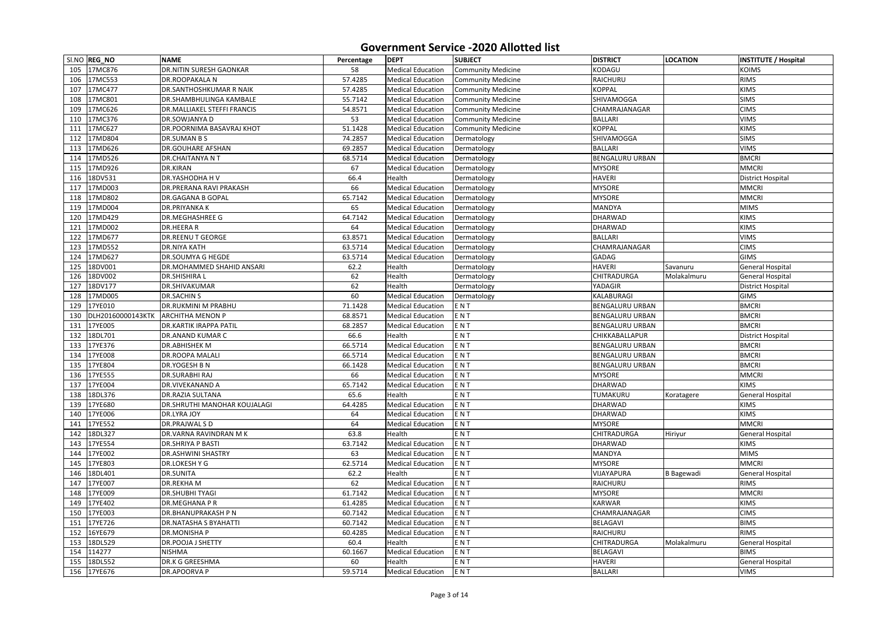|     | SI.NO REG_NO      | <b>NAME</b>                         | Percentage | <b>DEPT</b>              | <b>SUBJECT</b>            | <b>DISTRICT</b>        | <b>LOCATION</b>   | <b>INSTITUTE / Hospital</b> |
|-----|-------------------|-------------------------------------|------------|--------------------------|---------------------------|------------------------|-------------------|-----------------------------|
| 105 | 17MC876           | <b>DR.NITIN SURESH GAONKAR</b>      | 58         | <b>Medical Education</b> | <b>Community Medicine</b> | KODAGU                 |                   | <b>KOIMS</b>                |
| 106 | 17MC553           | <b>DR.ROOPAKALA N</b>               | 57.4285    | <b>Medical Education</b> | <b>Community Medicine</b> | RAICHURU               |                   | <b>RIMS</b>                 |
| 107 | 17MC477           | <b>DR.SANTHOSHKUMAR R NAIK</b>      | 57.4285    | <b>Medical Education</b> | <b>Community Medicine</b> | <b>KOPPAL</b>          |                   | <b>KIMS</b>                 |
| 108 | 17MC801           | <b>DR.SHAMBHULINGA KAMBALE</b>      | 55.7142    | <b>Medical Education</b> | <b>Community Medicine</b> | SHIVAMOGGA             |                   | <b>SIMS</b>                 |
| 109 | 17MC626           | <b>DR.MALLIAKEL STEFFI FRANCIS</b>  | 54.8571    | <b>Medical Education</b> | <b>Community Medicine</b> | CHAMRAJANAGAR          |                   | <b>CIMS</b>                 |
| 110 | 17MC376           | DR.SOWJANYA D                       | 53         | <b>Medical Education</b> | <b>Community Medicine</b> | <b>BALLARI</b>         |                   | <b>VIMS</b>                 |
| 111 | 17MC627           | <b>DR.POORNIMA BASAVRAJ KHOT</b>    | 51.1428    | <b>Medical Education</b> | <b>Community Medicine</b> | <b>KOPPAL</b>          |                   | <b>KIMS</b>                 |
| 112 | 17MD804           | <b>DR.SUMAN B S</b>                 | 74.2857    | <b>Medical Education</b> | Dermatology               | <b>SHIVAMOGGA</b>      |                   | <b>SIMS</b>                 |
| 113 | 17MD626           | <b>DR.GOUHARE AFSHAN</b>            | 69.2857    | <b>Medical Education</b> | Dermatology               | <b>BALLARI</b>         |                   | <b>VIMS</b>                 |
| 114 | 17MD526           | <b>DR.CHAITANYA N T</b>             | 68.5714    | <b>Medical Education</b> | Dermatology               | <b>BENGALURU URBAN</b> |                   | <b>BMCRI</b>                |
| 115 | 17MD926           | DR.KIRAN                            | 67         | <b>Medical Education</b> | Dermatology               | <b>MYSORE</b>          |                   | <b>MMCRI</b>                |
| 116 | 18DV531           | <b>DR.YASHODHA HV</b>               | 66.4       | Health                   | Dermatology               | <b>HAVERI</b>          |                   | <b>District Hospital</b>    |
| 117 | 17MD003           | <b>DR.PRERANA RAVI PRAKASH</b>      | 66         | <b>Medical Education</b> | Dermatology               | <b>MYSORE</b>          |                   | <b>MMCRI</b>                |
| 118 | 17MD802           | <b>DR.GAGANA B GOPAL</b>            | 65.7142    | <b>Medical Education</b> | Dermatology               | <b>MYSORE</b>          |                   | <b>MMCRI</b>                |
| 119 | 17MD004           | <b>DR.PRIYANKAK</b>                 | 65         | <b>Medical Education</b> | Dermatology               | <b>MANDYA</b>          |                   | <b>MIMS</b>                 |
| 120 | 17MD429           | <b>DR.MEGHASHREE G</b>              | 64.7142    | <b>Medical Education</b> | Dermatology               | <b>DHARWAD</b>         |                   | <b>KIMS</b>                 |
| 121 | 17MD002           | DR.HEERAR                           | 64         | <b>Medical Education</b> | Dermatology               | <b>DHARWAD</b>         |                   | <b>KIMS</b>                 |
| 122 | 17MD677           | <b>DR.REENU T GEORGE</b>            | 63.8571    | <b>Medical Education</b> | Dermatology               | <b>BALLARI</b>         |                   | <b>VIMS</b>                 |
| 123 | 17MD552           | <b>DR.NIYA KATH</b>                 | 63.5714    | <b>Medical Education</b> | Dermatology               | CHAMRAJANAGAR          |                   | <b>CIMS</b>                 |
| 124 | 17MD627           | <b>DR.SOUMYA G HEGDE</b>            | 63.5714    | <b>Medical Education</b> | Dermatology               | <b>GADAG</b>           |                   | <b>GIMS</b>                 |
| 125 | 18DV001           | DR.MOHAMMED SHAHID ANSARI           | 62.2       | Health                   | Dermatology               | <b>HAVERI</b>          | Savanuru          | <b>General Hospital</b>     |
| 126 | 18DV002           | <b>DR.SHISHIRAL</b>                 | 62         | Health                   | Dermatology               | <b>CHITRADURGA</b>     | Molakalmuru       | <b>General Hospital</b>     |
| 127 | 18DV177           | DR.SHIVAKUMAR                       | 62         | Health                   | Dermatology               | YADAGIR                |                   | <b>District Hospital</b>    |
| 128 | 17MD005           | <b>DR.SACHIN S</b>                  | 60         | <b>Medical Education</b> | Dermatology               | KALABURAGI             |                   | <b>GIMS</b>                 |
| 129 | 17YE010           | <b>DR.RUKMINI M PRABHU</b>          | 71.1428    | <b>Medical Education</b> | ENT                       | <b>BENGALURU URBAN</b> |                   | <b>BMCRI</b>                |
| 130 | DLH20160000143KTK | <b>ARCHITHA MENON P</b>             | 68.8571    | <b>Medical Education</b> | ENT                       | <b>BENGALURU URBAN</b> |                   | <b>BMCRI</b>                |
| 131 | 17YE005           | <b>DR.KARTIK IRAPPA PATIL</b>       | 68.2857    | <b>Medical Education</b> | ENT                       | <b>BENGALURU URBAN</b> |                   | <b>BMCRI</b>                |
| 132 | 18DL701           | <b>DR.ANAND KUMAR C</b>             | 66.6       | Health                   | <b>ENT</b>                | CHIKKABALLAPUR         |                   | <b>District Hospital</b>    |
| 133 | 17YE376           | <b>DR.ABHISHEK M</b>                | 66.5714    | <b>Medical Education</b> | ENT                       | <b>BENGALURU URBAN</b> |                   | <b>BMCRI</b>                |
| 134 | 17YE008           | <b>DR.ROOPA MALALI</b>              | 66.5714    | <b>Medical Education</b> | ENT                       | <b>BENGALURU URBAN</b> |                   | <b>BMCRI</b>                |
|     | 135 17YE804       | DR.YOGESH B N                       | 66.1428    | <b>Medical Education</b> | ENT                       | <b>BENGALURU URBAN</b> |                   | <b>BMCRI</b>                |
|     | 136 17YE555       | <b>DR.SURABHI RAJ</b>               | 66         | <b>Medical Education</b> | ENT                       | <b>MYSORE</b>          |                   | <b>MMCRI</b>                |
| 137 | 17YE004           | <b>DR.VIVEKANAND A</b>              | 65.7142    | <b>Medical Education</b> | ENT                       | <b>DHARWAD</b>         |                   | <b>KIMS</b>                 |
| 138 | 18DL376           | <b>DR.RAZIA SULTANA</b>             | 65.6       | Health                   | ENT                       | TUMAKURU               | Koratagere        | <b>General Hospital</b>     |
| 139 | 17YE680           | <b>DR.SHRUTHI MANOHAR KOUJALAGI</b> | 64.4285    | <b>Medical Education</b> | ENT                       | <b>DHARWAD</b>         |                   | <b>KIMS</b>                 |
| 140 | 17YE006           | DR.LYRA JOY                         | 64         | <b>Medical Education</b> | ENT                       | <b>DHARWAD</b>         |                   | <b>KIMS</b>                 |
| 141 | 17YE552           | DR.PRAJWAL S D                      | 64         | <b>Medical Education</b> | ENT                       | <b>MYSORE</b>          |                   | <b>MMCRI</b>                |
| 142 | 18DL327           | DR.VARNA RAVINDRAN M K              | 63.8       | Health                   | ENT                       | <b>CHITRADURGA</b>     | Hiriyur           | General Hospital            |
| 143 | 17YE554           | <b>DR.SHRIYA P BASTI</b>            | 63.7142    | <b>Medical Education</b> | ENT                       | <b>DHARWAD</b>         |                   | <b>KIMS</b>                 |
| 144 | 17YE002           | <b>DR.ASHWINI SHASTRY</b>           | 63         | <b>Medical Education</b> | ENT                       | MANDYA                 |                   | <b>MIMS</b>                 |
| 145 | 17YE803           | DR.LOKESH Y G                       | 62.5714    | <b>Medical Education</b> | ENT                       | <b>MYSORE</b>          |                   | <b>MMCRI</b>                |
| 146 | 18DL401           | <b>DR.SUNITA</b>                    | 62.2       | Health                   | ENT                       | VIJAYAPURA             | <b>B</b> Bagewadi | <b>General Hospital</b>     |
| 147 | 17YE007           | <b>DR.REKHAM</b>                    | 62         | <b>Medical Education</b> | ENT                       | RAICHURU               |                   | <b>RIMS</b>                 |
| 148 | 17YE009           | <b>DR.SHUBHI TYAGI</b>              | 61.7142    | <b>Medical Education</b> | ENT                       | <b>MYSORE</b>          |                   | <b>MMCRI</b>                |
| 149 | 17YE402           | <b>DR.MEGHANA P R</b>               | 61.4285    | <b>Medical Education</b> | ENT                       | <b>KARWAR</b>          |                   | <b>KIMS</b>                 |
| 150 | 17YE003           | <b>DR.BHANUPRAKASH P N</b>          | 60.7142    | <b>Medical Education</b> | ENT                       | CHAMRAJANAGAR          |                   | <b>CIMS</b>                 |
| 151 | 17YE726           | <b>DR.NATASHA S BYAHATTI</b>        | 60.7142    | <b>Medical Education</b> | ENT                       | <b>BELAGAVI</b>        |                   | <b>BIMS</b>                 |
|     | 152 16YE679       | <b>DR.MONISHAP</b>                  | 60.4285    | <b>Medical Education</b> | ENT                       | RAICHURU               |                   | <b>RIMS</b>                 |
| 153 | 18DL529           | <b>DR.POOJA J SHETTY</b>            | 60.4       | Health                   | ENT                       | <b>CHITRADURGA</b>     | Molakalmuru       | General Hospital            |
| 154 | 114277            | <b>NISHMA</b>                       | 60.1667    | <b>Medical Education</b> | ENT                       | <b>BELAGAVI</b>        |                   | <b>BIMS</b>                 |
| 155 | 18DL552           | <b>DR.K G GREESHMA</b>              | 60         | Health                   | ENT                       | <b>HAVERI</b>          |                   | General Hospital            |
|     | 156 17YE676       | <b>DR.APOORVAP</b>                  | 59.5714    | <b>Medical Education</b> | ENT                       | <b>BALLARI</b>         |                   | <b>VIMS</b>                 |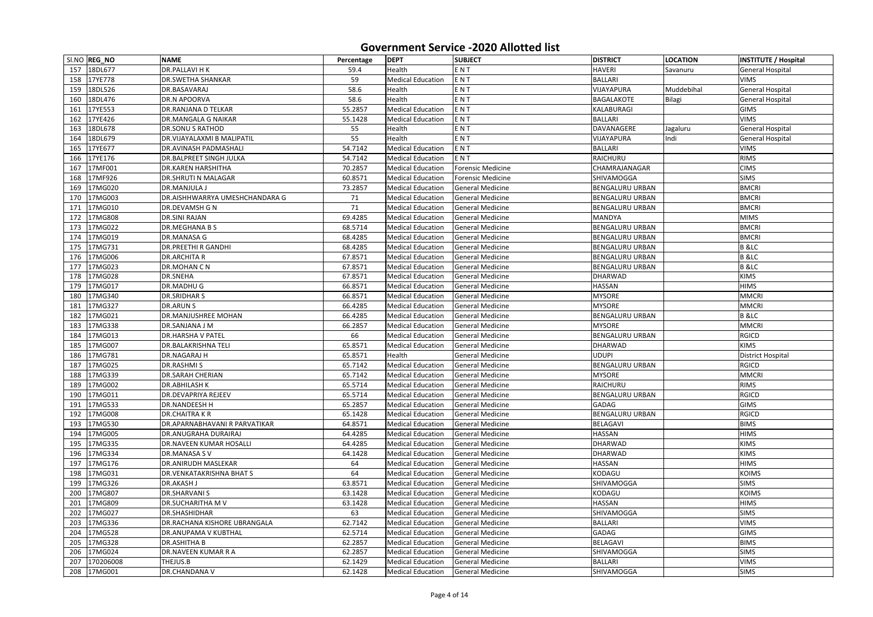|     | SI.NO REG_NO | <b>NAME</b>                          | Percentage | <b>DEPT</b>              | <b>SUBJECT</b>           | <b>DISTRICT</b>        | <b>LOCATION</b> | <b>INSTITUTE / Hospital</b> |
|-----|--------------|--------------------------------------|------------|--------------------------|--------------------------|------------------------|-----------------|-----------------------------|
|     | 157 18DL677  | <b>DR.PALLAVI HK</b>                 | 59.4       | Health                   | ENT                      | <b>HAVERI</b>          | Savanuru        | <b>General Hospital</b>     |
| 158 | 17YE778      | <b>DR.SWETHA SHANKAR</b>             | 59         | <b>Medical Education</b> | ENT                      | <b>BALLARI</b>         |                 | <b>VIMS</b>                 |
| 159 | 18DL526      | DR.BASAVARAJ                         | 58.6       | Health                   | ENT                      | VIJAYAPURA             | Muddebihal      | <b>General Hospital</b>     |
| 160 | 18DL476      | <b>DR.N APOORVA</b>                  | 58.6       | Health                   | <b>ENT</b>               | <b>BAGALAKOTE</b>      | Bilagi          | General Hospital            |
| 161 | 17YE553      | <b>DR.RANJANA D TELKAR</b>           | 55.2857    | <b>Medical Education</b> | ENT                      | KALABURAGI             |                 | <b>GIMS</b>                 |
| 162 | 17YE426      | <b>DR.MANGALA G NAIKAR</b>           | 55.1428    | <b>Medical Education</b> | ENT                      | <b>BALLARI</b>         |                 | <b>VIMS</b>                 |
| 163 | 18DL678      | <b>DR.SONU S RATHOD</b>              | 55         | Health                   | ENT                      | DAVANAGERE             | Jagaluru        | <b>General Hospital</b>     |
| 164 | 18DL679      | <b>DR.VIJAYALAXMI B MALIPATIL</b>    | 55         | Health                   | <b>ENT</b>               | VIJAYAPURA             | Indi            | <b>General Hospital</b>     |
| 165 | 17YE677      | <b>DR.AVINASH PADMASHALI</b>         | 54.7142    | <b>Medical Education</b> | ENT                      | <b>BALLARI</b>         |                 | <b>VIMS</b>                 |
| 166 | 17YE176      | <b>DR.BALPREET SINGH JULKA</b>       | 54.7142    | <b>Medical Education</b> | <b>ENT</b>               | RAICHURU               |                 | <b>RIMS</b>                 |
| 167 | 17MF001      | <b>DR.KAREN HARSHITHA</b>            | 70.2857    | <b>Medical Education</b> | Forensic Medicine        | CHAMRAJANAGAR          |                 | <b>CIMS</b>                 |
| 168 | 17MF926      | <b>DR.SHRUTI N MALAGAR</b>           | 60.8571    | <b>Medical Education</b> | <b>Forensic Medicine</b> | SHIVAMOGGA             |                 | <b>SIMS</b>                 |
| 169 | 17MG020      | <b>DR.MANJULA J</b>                  | 73.2857    | <b>Medical Education</b> | <b>General Medicine</b>  | <b>BENGALURU URBAN</b> |                 | <b>BMCRI</b>                |
| 170 | 17MG003      | DR.AISHHWARRYA UMESHCHANDARA G       | 71         | <b>Medical Education</b> | <b>General Medicine</b>  | <b>BENGALURU URBAN</b> |                 | <b>BMCRI</b>                |
| 171 | 17MG010      | <b>DR.DEVAMSH G N</b>                | 71         | <b>Medical Education</b> | <b>General Medicine</b>  | <b>BENGALURU URBAN</b> |                 | <b>BMCRI</b>                |
| 172 | 17MG808      | <b>DR.SINI RAJAN</b>                 | 69.4285    | <b>Medical Education</b> | <b>General Medicine</b>  | <b>MANDYA</b>          |                 | <b>MIMS</b>                 |
| 173 | 17MG022      | <b>DR.MEGHANA BS</b>                 | 68.5714    | <b>Medical Education</b> | <b>General Medicine</b>  | <b>BENGALURU URBAN</b> |                 | <b>BMCRI</b>                |
| 174 | 17MG019      | <b>DR.MANASA G</b>                   | 68.4285    | <b>Medical Education</b> | <b>General Medicine</b>  | <b>BENGALURU URBAN</b> |                 | <b>BMCRI</b>                |
| 175 | 17MG731      | <b>DR.PREETHI R GANDHI</b>           | 68.4285    | <b>Medical Education</b> | General Medicine         | <b>BENGALURU URBAN</b> |                 | <b>B</b> & LC               |
| 176 | 17MG006      | <b>DR.ARCHITA R</b>                  | 67.8571    | <b>Medical Education</b> | <b>General Medicine</b>  | <b>BENGALURU URBAN</b> |                 | <b>B</b> &LC                |
| 177 | 17MG023      | DR.MOHAN C N                         | 67.8571    | <b>Medical Education</b> | <b>General Medicine</b>  | <b>BENGALURU URBAN</b> |                 | <b>B</b> &LC                |
| 178 | 17MG028      | <b>DR.SNEHA</b>                      | 67.8571    | <b>Medical Education</b> | <b>General Medicine</b>  | <b>DHARWAD</b>         |                 | <b>KIMS</b>                 |
| 179 | 17MG017      | <b>DR.MADHUG</b>                     | 66.8571    | <b>Medical Education</b> | <b>General Medicine</b>  | <b>HASSAN</b>          |                 | <b>HIMS</b>                 |
| 180 | 17MG340      | <b>DR.SRIDHARS</b>                   | 66.8571    | <b>Medical Education</b> | <b>General Medicine</b>  | <b>MYSORE</b>          |                 | <b>MMCRI</b>                |
| 181 | 17MG327      | <b>DR.ARUN S</b>                     | 66.4285    | <b>Medical Education</b> | <b>General Medicine</b>  | <b>MYSORE</b>          |                 | <b>MMCRI</b>                |
| 182 | 17MG021      | <b>DR.MANJUSHREE MOHAN</b>           | 66.4285    | <b>Medical Education</b> | <b>General Medicine</b>  | <b>BENGALURU URBAN</b> |                 | <b>B</b> & LC               |
| 183 | 17MG338      | DR.SANJANA J M                       | 66.2857    | <b>Medical Education</b> | <b>General Medicine</b>  | <b>MYSORE</b>          |                 | <b>MMCRI</b>                |
| 184 | 17MG013      | <b>DR.HARSHA V PATEL</b>             | 66         | <b>Medical Education</b> | General Medicine         | <b>BENGALURU URBAN</b> |                 | <b>RGICD</b>                |
| 185 | 17MG007      | <b>DR.BALAKRISHNA TELI</b>           | 65.8571    | <b>Medical Education</b> | <b>General Medicine</b>  | <b>DHARWAD</b>         |                 | <b>KIMS</b>                 |
| 186 | 17MG781      | <b>DR.NAGARAJ H</b>                  | 65.8571    | Health                   | <b>General Medicine</b>  | <b>UDUPI</b>           |                 | <b>District Hospital</b>    |
|     | 187 17MG025  | <b>DR.RASHMIS</b>                    | 65.7142    | <b>Medical Education</b> | General Medicine         | <b>BENGALURU URBAN</b> |                 | <b>RGICD</b>                |
|     | 188 17MG339  | <b>DR.SARAH CHERIAN</b>              | 65.7142    | <b>Medical Education</b> | General Medicine         | <b>MYSORE</b>          |                 | <b>MMCRI</b>                |
| 189 | 17MG002      | <b>DR.ABHILASH K</b>                 | 65.5714    | <b>Medical Education</b> | General Medicine         | <b>RAICHURU</b>        |                 | <b>RIMS</b>                 |
| 190 | 17MG011      | <b>DR.DEVAPRIYA REJEEV</b>           | 65.5714    | <b>Medical Education</b> | <b>General Medicine</b>  | <b>BENGALURU URBAN</b> |                 | <b>RGICD</b>                |
| 191 | 17MG533      | <b>DR.NANDEESH H</b>                 | 65.2857    | <b>Medical Education</b> | General Medicine         | <b>GADAG</b>           |                 | <b>GIMS</b>                 |
| 192 | 17MG008      | <b>DR.CHAITRAKR</b>                  | 65.1428    | <b>Medical Education</b> | <b>General Medicine</b>  | <b>BENGALURU URBAN</b> |                 | <b>RGICD</b>                |
| 193 | 17MG530      | <b>DR.APARNABHAVANI R PARVATIKAR</b> | 64.8571    | <b>Medical Education</b> | General Medicine         | <b>BELAGAVI</b>        |                 | <b>BIMS</b>                 |
| 194 | 17MG005      | <b>DR.ANUGRAHA DURAIRAJ</b>          | 64.4285    | <b>Medical Education</b> | General Medicine         | <b>HASSAN</b>          |                 | <b>HIMS</b>                 |
| 195 | 17MG335      | <b>DR.NAVEEN KUMAR HOSALLI</b>       | 64.4285    | <b>Medical Education</b> | <b>General Medicine</b>  | <b>DHARWAD</b>         |                 | <b>KIMS</b>                 |
| 196 | 17MG334      | DR.MANASA SV                         | 64.1428    | <b>Medical Education</b> | General Medicine         | <b>DHARWAD</b>         |                 | <b>KIMS</b>                 |
| 197 | 17MG176      | <b>DR.ANIRUDH MASLEKAR</b>           | 64         | <b>Medical Education</b> | General Medicine         | <b>HASSAN</b>          |                 | <b>HIMS</b>                 |
| 198 | 17MG031      | <b>DR. VENKATAKRISHNA BHAT S</b>     | 64         | <b>Medical Education</b> | General Medicine         | KODAGU                 |                 | <b>KOIMS</b>                |
| 199 | 17MG326      | <b>DR.AKASH J</b>                    | 63.8571    | <b>Medical Education</b> | General Medicine         | SHIVAMOGGA             |                 | <b>SIMS</b>                 |
| 200 | 17MG807      | <b>DR.SHARVANIS</b>                  | 63.1428    | <b>Medical Education</b> | General Medicine         | KODAGU                 |                 | <b>KOIMS</b>                |
| 201 | 17MG809      | <b>DR.SUCHARITHA MV</b>              | 63.1428    | <b>Medical Education</b> | General Medicine         | <b>HASSAN</b>          |                 | <b>HIMS</b>                 |
| 202 | 17MG027      | <b>DR.SHASHIDHAR</b>                 | 63         | <b>Medical Education</b> | General Medicine         | SHIVAMOGGA             |                 | <b>SIMS</b>                 |
| 203 | 17MG336      | <b>DR.RACHANA KISHORE UBRANGALA</b>  | 62.7142    | <b>Medical Education</b> | <b>General Medicine</b>  | <b>BALLARI</b>         |                 | <b>VIMS</b>                 |
| 204 | 17MG528      | <b>DR.ANUPAMA V KUBTHAL</b>          | 62.5714    | <b>Medical Education</b> | General Medicine         | <b>GADAG</b>           |                 | <b>GIMS</b>                 |
| 205 | 17MG328      | <b>DR.ASHITHA B</b>                  | 62.2857    | <b>Medical Education</b> | <b>General Medicine</b>  | <b>BELAGAVI</b>        |                 | <b>BIMS</b>                 |
| 206 | 17MG024      | <b>DR.NAVEEN KUMAR R A</b>           | 62.2857    | <b>Medical Education</b> | General Medicine         | SHIVAMOGGA             |                 | <b>SIMS</b>                 |
| 207 | 170206008    | THEJUS.B                             | 62.1429    | <b>Medical Education</b> | <b>General Medicine</b>  | <b>BALLARI</b>         |                 | <b>VIMS</b>                 |
| 208 | 17MG001      | DR.CHANDANA V                        | 62.1428    | <b>Medical Education</b> | General Medicine         | SHIVAMOGGA             |                 | <b>SIMS</b>                 |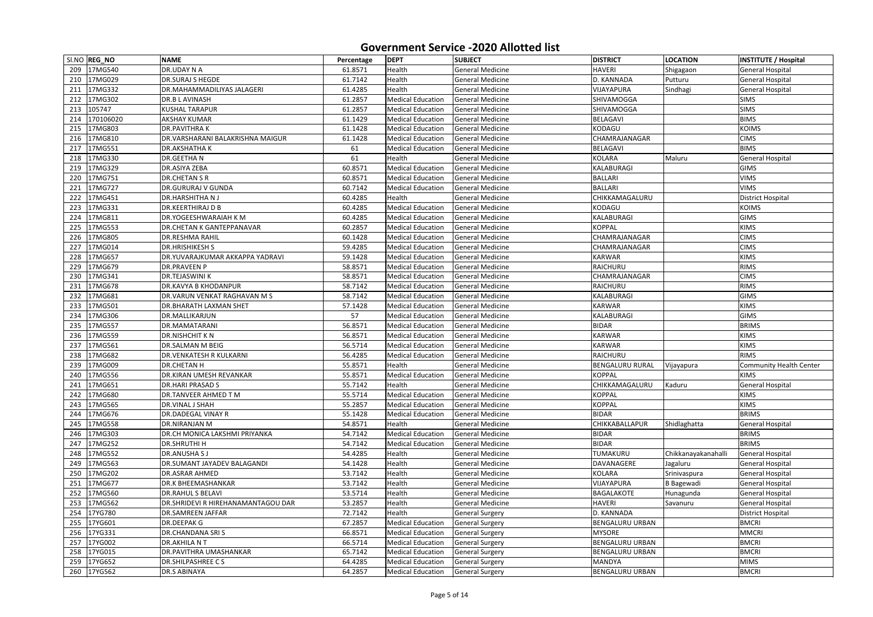|     | SI.NO REG_NO | <b>NAME</b>                               | Percentage | <b>DEPT</b>              | <b>SUBJECT</b>          | <b>DISTRICT</b>        | <b>LOCATION</b>     | <b>INSTITUTE / Hospital</b> |
|-----|--------------|-------------------------------------------|------------|--------------------------|-------------------------|------------------------|---------------------|-----------------------------|
|     | 209 17MG540  | <b>DR.UDAY N A</b>                        | 61.8571    | Health                   | <b>General Medicine</b> | <b>HAVERI</b>          | Shigagaon           | <b>General Hospital</b>     |
|     | 210 17MG029  | <b>DR.SURAJ S HEGDE</b>                   | 61.7142    | Health                   | <b>General Medicine</b> | D. KANNADA             | Putturu             | <b>General Hospital</b>     |
| 211 | 17MG332      | DR.MAHAMMADILIYAS JALAGERI                | 61.4285    | Health                   | <b>General Medicine</b> | VIJAYAPURA             | Sindhagi            | <b>General Hospital</b>     |
| 212 | 17MG302      | <b>DR.B L AVINASH</b>                     | 61.2857    | <b>Medical Education</b> | <b>General Medicine</b> | <b>SHIVAMOGGA</b>      |                     | <b>SIMS</b>                 |
| 213 | 105747       | <b>KUSHAL TARAPUR</b>                     | 61.2857    | <b>Medical Education</b> | <b>General Medicine</b> | SHIVAMOGGA             |                     | <b>SIMS</b>                 |
| 214 | 170106020    | <b>AKSHAY KUMAR</b>                       | 61.1429    | <b>Medical Education</b> | <b>General Medicine</b> | <b>BELAGAVI</b>        |                     | <b>BIMS</b>                 |
| 215 | 17MG803      | <b>DR.PAVITHRAK</b>                       | 61.1428    | <b>Medical Education</b> | <b>General Medicine</b> | KODAGU                 |                     | <b>KOIMS</b>                |
| 216 | 17MG810      | DR.VARSHARANI BALAKRISHNA MAIGUR          | 61.1428    | <b>Medical Education</b> | <b>General Medicine</b> | CHAMRAJANAGAR          |                     | <b>CIMS</b>                 |
| 217 | 17MG551      | <b>DR.AKSHATHAK</b>                       | 61         | <b>Medical Education</b> | <b>General Medicine</b> | <b>BELAGAVI</b>        |                     | <b>BIMS</b>                 |
| 218 | 17MG330      | <b>DR.GEETHAN</b>                         | 61         | Health                   | <b>General Medicine</b> | <b>KOLARA</b>          | Maluru              | <b>General Hospital</b>     |
| 219 | 17MG329      | <b>DR.ASIYA ZEBA</b>                      | 60.8571    | <b>Medical Education</b> | <b>General Medicine</b> | KALABURAGI             |                     | <b>GIMS</b>                 |
| 220 | 17MG751      | <b>DR.CHETAN S R</b>                      | 60.8571    | <b>Medical Education</b> | <b>General Medicine</b> | <b>BALLARI</b>         |                     | <b>VIMS</b>                 |
| 221 | 17MG727      | <b>DR.GURURAJ V GUNDA</b>                 | 60.7142    | <b>Medical Education</b> | <b>General Medicine</b> | <b>BALLARI</b>         |                     | <b>VIMS</b>                 |
| 222 | 17MG451      | <b>DR.HARSHITHANJ</b>                     | 60.4285    | Health                   | <b>General Medicine</b> | CHIKKAMAGALURU         |                     | <b>District Hospital</b>    |
| 223 | 17MG331      | <b>DR.KEERTHIRAJ D B</b>                  | 60.4285    | <b>Medical Education</b> | <b>General Medicine</b> | KODAGU                 |                     | <b>KOIMS</b>                |
| 224 | 17MG811      | DR.YOGEESHWARAIAH K M                     | 60.4285    | <b>Medical Education</b> | <b>General Medicine</b> | KALABURAGI             |                     | <b>GIMS</b>                 |
| 225 | 17MG553      | DR.CHETAN K GANTEPPANAVAR                 | 60.2857    | <b>Medical Education</b> | <b>General Medicine</b> | <b>KOPPAL</b>          |                     | <b>KIMS</b>                 |
| 226 | 17MG805      | <b>DR.RESHMA RAHIL</b>                    | 60.1428    | <b>Medical Education</b> | <b>General Medicine</b> | <b>CHAMRAJANAGAR</b>   |                     | <b>CIMS</b>                 |
| 227 | 17MG014      | <b>DR.HRISHIKESH S</b>                    | 59.4285    | <b>Medical Education</b> | General Medicine        | <b>CHAMRAJANAGAR</b>   |                     | <b>CIMS</b>                 |
| 228 | 17MG657      | DR.YUVARAJKUMAR AKKAPPA YADRAVI           | 59.1428    | <b>Medical Education</b> | <b>General Medicine</b> | <b>KARWAR</b>          |                     | <b>KIMS</b>                 |
| 229 | 17MG679      | <b>DR.PRAVEEN P</b>                       | 58.8571    | <b>Medical Education</b> | <b>General Medicine</b> | RAICHURU               |                     | <b>RIMS</b>                 |
| 230 | 17MG341      | <b>DR.TEJASWINI K</b>                     | 58.8571    | <b>Medical Education</b> | <b>General Medicine</b> | CHAMRAJANAGAR          |                     | <b>CIMS</b>                 |
| 231 | 17MG678      | <b>DR.KAVYA B KHODANPUR</b>               | 58.7142    | <b>Medical Education</b> | <b>General Medicine</b> | RAICHURU               |                     | <b>RIMS</b>                 |
| 232 | 17MG681      | <b>DR.VARUN VENKAT RAGHAVAN M S</b>       | 58.7142    | <b>Medical Education</b> | <b>General Medicine</b> | KALABURAGI             |                     | <b>GIMS</b>                 |
| 233 | 17MG501      | <b>DR.BHARATH LAXMAN SHET</b>             | 57.1428    | <b>Medical Education</b> | <b>General Medicine</b> | <b>KARWAR</b>          |                     | <b>KIMS</b>                 |
| 234 | 17MG306      | DR.MALLIKARJUN                            | 57         | <b>Medical Education</b> | <b>General Medicine</b> | KALABURAGI             |                     | <b>GIMS</b>                 |
| 235 | 17MG557      | <b>DR.MAMATARANI</b>                      | 56.8571    | <b>Medical Education</b> | <b>General Medicine</b> | <b>BIDAR</b>           |                     | <b>BRIMS</b>                |
| 236 | 17MG559      | <b>DR.NISHCHIT KN</b>                     | 56.8571    | <b>Medical Education</b> | <b>General Medicine</b> | <b>KARWAR</b>          |                     | <b>KIMS</b>                 |
| 237 | 17MG561      | <b>DR.SALMAN M BEIG</b>                   | 56.5714    | <b>Medical Education</b> | <b>General Medicine</b> | <b>KARWAR</b>          |                     | <b>KIMS</b>                 |
| 238 | 17MG682      | <b>DR.VENKATESH R KULKARNI</b>            | 56.4285    | <b>Medical Education</b> | <b>General Medicine</b> | RAICHURU               |                     | <b>RIMS</b>                 |
|     | 239 17MG009  | <b>DR.CHETAN H</b>                        | 55.8571    | Health                   | <b>General Medicine</b> | <b>BENGALURU RURAL</b> | Vijayapura          | Community Health Center     |
|     | 240 17MG556  | <b>DR.KIRAN UMESH REVANKAR</b>            | 55.8571    | <b>Medical Education</b> | General Medicine        | <b>KOPPAL</b>          |                     | <b>KIMS</b>                 |
|     | 241 17MG651  | <b>DR.HARI PRASAD S</b>                   | 55.7142    | Health                   | <b>General Medicine</b> | CHIKKAMAGALURU         | Kaduru              | <b>General Hospital</b>     |
| 242 | 17MG680      | DR.TANVEER AHMED T M                      | 55.5714    | <b>Medical Education</b> | <b>General Medicine</b> | <b>KOPPAL</b>          |                     | <b>KIMS</b>                 |
| 243 | 17MG565      | DR.VINAL J SHAH                           | 55.2857    | <b>Medical Education</b> | <b>General Medicine</b> | <b>KOPPAL</b>          |                     | <b>KIMS</b>                 |
| 244 | 17MG676      | <b>DR.DADEGAL VINAY R</b>                 | 55.1428    | <b>Medical Education</b> | <b>General Medicine</b> | <b>BIDAR</b>           |                     | <b>BRIMS</b>                |
| 245 | 17MG558      | <b>DR.NIRANJAN M</b>                      | 54.8571    | Health                   | <b>General Medicine</b> | CHIKKABALLAPUR         | Shidlaghatta        | <b>General Hospital</b>     |
| 246 | 17MG303      | DR.CH MONICA LAKSHMI PRIYANKA             | 54.7142    | <b>Medical Education</b> | <b>General Medicine</b> | <b>BIDAR</b>           |                     | <b>BRIMS</b>                |
| 247 | 17MG252      | <b>DR.SHRUTHI H</b>                       | 54.7142    | <b>Medical Education</b> | <b>General Medicine</b> | <b>BIDAR</b>           |                     | <b>BRIMS</b>                |
| 248 | 17MG552      | <b>DR.ANUSHASJ</b>                        | 54.4285    | Health                   | <b>General Medicine</b> | <b>TUMAKURU</b>        | Chikkanayakanahalli | <b>General Hospital</b>     |
| 249 | 17MG563      | DR.SUMANT JAYADEV BALAGANDI               | 54.1428    | Health                   | <b>General Medicine</b> | DAVANAGERE             | Jagaluru            | <b>General Hospital</b>     |
| 250 | 17MG202      | <b>DR.ASRAR AHMED</b>                     | 53.7142    | Health                   | <b>General Medicine</b> | <b>KOLARA</b>          | Srinivaspura        | <b>General Hospital</b>     |
| 251 | 17MG677      | <b>DR.K BHEEMASHANKAR</b>                 | 53.7142    | Health                   | General Medicine        | VIJAYAPURA             | <b>B</b> Bagewadi   | <b>General Hospital</b>     |
| 252 | 17MG560      | <b>DR.RAHUL S BELAVI</b>                  | 53.5714    | Health                   | <b>General Medicine</b> | <b>BAGALAKOTE</b>      | Hunagunda           | <b>General Hospital</b>     |
| 253 | 17MG562      | <b>DR.SHRIDEVI R HIREHANAMANTAGOU DAR</b> | 53.2857    | Health                   | <b>General Medicine</b> | <b>HAVERI</b>          | Savanuru            | <b>General Hospital</b>     |
| 254 | 17YG780      | <b>DR.SAMREEN JAFFAR</b>                  | 72.7142    | Health                   | <b>General Surgery</b>  | D. KANNADA             |                     | <b>District Hospital</b>    |
| 255 | 17YG601      | DR.DEEPAK G                               | 67.2857    | <b>Medical Education</b> | <b>General Surgery</b>  | <b>BENGALURU URBAN</b> |                     | <b>BMCRI</b>                |
| 256 | 17YG331      | <b>DR.CHANDANA SRIS</b>                   | 66.8571    | <b>Medical Education</b> | <b>General Surgery</b>  | <b>MYSORE</b>          |                     | <b>MMCRI</b>                |
| 257 | 17YG002      | <b>DR.AKHILA NT</b>                       | 66.5714    | <b>Medical Education</b> | <b>General Surgery</b>  | <b>BENGALURU URBAN</b> |                     | <b>BMCRI</b>                |
|     | 258 17YG015  | <b>DR.PAVITHRA UMASHANKAR</b>             | 65.7142    | <b>Medical Education</b> | <b>General Surgery</b>  | <b>BENGALURU URBAN</b> |                     | <b>BMCRI</b>                |
| 259 | 17YG652      | <b>DR.SHILPASHREE CS</b>                  | 64.4285    | <b>Medical Education</b> | <b>General Surgery</b>  | <b>MANDYA</b>          |                     | <b>MIMS</b>                 |
|     | 260 17YG562  | <b>DR.S ABINAYA</b>                       | 64.2857    | <b>Medical Education</b> | <b>General Surgery</b>  | <b>BENGALURU URBAN</b> |                     | <b>BMCRI</b>                |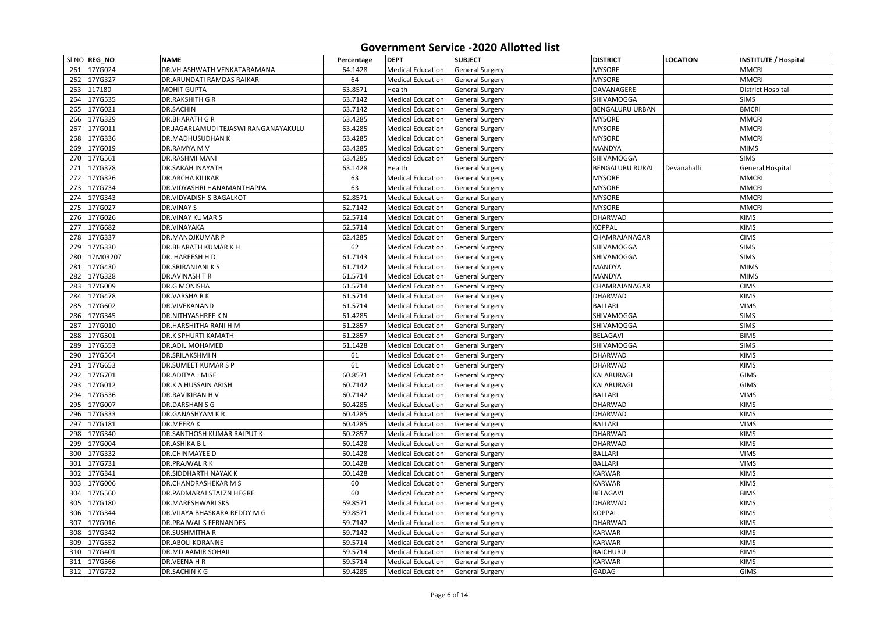|     | SI.NO REG_NO | <b>NAME</b>                          | Percentage | <b>DEPT</b>              | <b>SUBJECT</b>         | <b>DISTRICT</b>        | <b>LOCATION</b> | <b>INSTITUTE / Hospital</b> |
|-----|--------------|--------------------------------------|------------|--------------------------|------------------------|------------------------|-----------------|-----------------------------|
| 261 | 17YG024      | DR.VH ASHWATH VENKATARAMANA          | 64.1428    | <b>Medical Education</b> | <b>General Surgery</b> | <b>MYSORE</b>          |                 | <b>MMCRI</b>                |
| 262 | 17YG327      | DR.ARUNDATI RAMDAS RAIKAR            | 64         | <b>Medical Education</b> | <b>General Surgery</b> | <b>MYSORE</b>          |                 | <b>MMCRI</b>                |
| 263 | 117180       | <b>MOHIT GUPTA</b>                   | 63.8571    | Health                   | <b>General Surgery</b> | DAVANAGERE             |                 | <b>District Hospital</b>    |
| 264 | 17YG535      | <b>DR.RAKSHITH G R</b>               | 63.7142    | <b>Medical Education</b> | <b>General Surgery</b> | SHIVAMOGGA             |                 | <b>SIMS</b>                 |
| 265 | 17YG021      | <b>DR.SACHIN</b>                     | 63.7142    | <b>Medical Education</b> | <b>General Surgery</b> | <b>BENGALURU URBAN</b> |                 | <b>BMCRI</b>                |
| 266 | 17YG329      | <b>DR.BHARATH GR</b>                 | 63.4285    | <b>Medical Education</b> | <b>General Surgery</b> | <b>MYSORE</b>          |                 | <b>MMCRI</b>                |
| 267 | 17YG011      | DR.JAGARLAMUDI TEJASWI RANGANAYAKULU | 63.4285    | <b>Medical Education</b> | <b>General Surgery</b> | <b>MYSORE</b>          |                 | <b>MMCRI</b>                |
| 268 | 17YG336      | <b>DR.MADHUSUDHAN K</b>              | 63.4285    | <b>Medical Education</b> | <b>General Surgery</b> | <b>MYSORE</b>          |                 | <b>MMCRI</b>                |
| 269 | 17YG019      | DR.RAMYA M V                         | 63.4285    | <b>Medical Education</b> | <b>General Surgery</b> | MANDYA                 |                 | <b>MIMS</b>                 |
| 270 | 17YG561      | <b>DR.RASHMI MANI</b>                | 63.4285    | <b>Medical Education</b> | <b>General Surgery</b> | <b>SHIVAMOGGA</b>      |                 | <b>SIMS</b>                 |
| 271 | 17YG378      | <b>DR.SARAH INAYATH</b>              | 63.1428    | Health                   | <b>General Surgery</b> | <b>BENGALURU RURAL</b> | Devanahalli     | <b>General Hospital</b>     |
| 272 | 17YG326      | <b>DR.ARCHA KILIKAR</b>              | 63         | <b>Medical Education</b> | <b>General Surgery</b> | <b>MYSORE</b>          |                 | <b>MMCRI</b>                |
| 273 | 17YG734      | DR.VIDYASHRI HANAMANTHAPPA           | 63         | <b>Medical Education</b> | <b>General Surgery</b> | <b>MYSORE</b>          |                 | <b>MMCRI</b>                |
| 274 | 17YG343      | <b>DR.VIDYADISH S BAGALKOT</b>       | 62.8571    | <b>Medical Education</b> | <b>General Surgery</b> | <b>MYSORE</b>          |                 | <b>MMCRI</b>                |
| 275 | 17YG027      | <b>DR.VINAY S</b>                    | 62.7142    | <b>Medical Education</b> | <b>General Surgery</b> | <b>MYSORE</b>          |                 | <b>MMCRI</b>                |
| 276 | 17YG026      | <b>DR.VINAY KUMAR S</b>              | 62.5714    | <b>Medical Education</b> | <b>General Surgery</b> | <b>DHARWAD</b>         |                 | <b>KIMS</b>                 |
| 277 | 17YG682      | <b>DR.VINAYAKA</b>                   | 62.5714    | <b>Medical Education</b> | <b>General Surgery</b> | <b>KOPPAL</b>          |                 | <b>KIMS</b>                 |
| 278 | 17YG337      | <b>DR.MANOJKUMAR P</b>               | 62.4285    | <b>Medical Education</b> | <b>General Surgery</b> | CHAMRAJANAGAR          |                 | <b>CIMS</b>                 |
| 279 | 17YG330      | <b>DR.BHARATH KUMAR K H</b>          | 62         | <b>Medical Education</b> | <b>General Surgery</b> | <b>SHIVAMOGGA</b>      |                 | <b>SIMS</b>                 |
| 280 | 17M03207     | DR. HAREESH H D                      | 61.7143    | <b>Medical Education</b> | <b>General Surgery</b> | SHIVAMOGGA             |                 | <b>SIMS</b>                 |
| 281 | 17YG430      | <b>DR.SRIRANJANI K S</b>             | 61.7142    | <b>Medical Education</b> | <b>General Surgery</b> | <b>MANDYA</b>          |                 | <b>MIMS</b>                 |
| 282 | 17YG328      | DR.AVINASH TR                        | 61.5714    | <b>Medical Education</b> | <b>General Surgery</b> | <b>MANDYA</b>          |                 | <b>MIMS</b>                 |
| 283 | 17YG009      | <b>DR.G MONISHA</b>                  | 61.5714    | <b>Medical Education</b> | <b>General Surgery</b> | CHAMRAJANAGAR          |                 | <b>CIMS</b>                 |
| 284 | 17YG478      | <b>DR.VARSHARK</b>                   | 61.5714    | <b>Medical Education</b> | <b>General Surgery</b> | <b>DHARWAD</b>         |                 | <b>KIMS</b>                 |
| 285 | 17YG602      | DR.VIVEKANAND                        | 61.5714    | <b>Medical Education</b> | <b>General Surgery</b> | <b>BALLARI</b>         |                 | <b>VIMS</b>                 |
| 286 | 17YG345      | <b>DR.NITHYASHREE KN</b>             | 61.4285    | <b>Medical Education</b> | <b>General Surgery</b> | SHIVAMOGGA             |                 | <b>SIMS</b>                 |
| 287 | 17YG010      | <b>DR.HARSHITHA RANI H M</b>         | 61.2857    | <b>Medical Education</b> | <b>General Surgery</b> | <b>SHIVAMOGGA</b>      |                 | <b>SIMS</b>                 |
| 288 | 17YG501      | <b>DR.K SPHURTI KAMATH</b>           | 61.2857    | <b>Medical Education</b> | <b>General Surgery</b> | BELAGAVI               |                 | <b>BIMS</b>                 |
| 289 | 17YG553      | <b>DR.ADIL MOHAMED</b>               | 61.1428    | <b>Medical Education</b> | <b>General Surgery</b> | <b>SHIVAMOGGA</b>      |                 | <b>SIMS</b>                 |
| 290 | 17YG564      | <b>DR.SRILAKSHMIN</b>                | 61         | <b>Medical Education</b> | <b>General Surgery</b> | <b>DHARWAD</b>         |                 | <b>KIMS</b>                 |
|     | 291 17YG653  | <b>DR.SUMEET KUMARSP</b>             | 61         | <b>Medical Education</b> | <b>General Surgery</b> | <b>DHARWAD</b>         |                 | <b>KIMS</b>                 |
|     | 292 17YG701  | <b>DR.ADITYA J MISE</b>              | 60.8571    | <b>Medical Education</b> | <b>General Surgery</b> | <b>KALABURAGI</b>      |                 | <b>GIMS</b>                 |
| 293 | 17YG012      | <b>DR.K A HUSSAIN ARISH</b>          | 60.7142    | <b>Medical Education</b> | <b>General Surgery</b> | KALABURAGI             |                 | <b>GIMS</b>                 |
| 294 | 17YG536      | <b>DR.RAVIKIRAN HV</b>               | 60.7142    | <b>Medical Education</b> | <b>General Surgery</b> | <b>BALLARI</b>         |                 | <b>VIMS</b>                 |
| 295 | 17YG007      | <b>DR.DARSHAN S G</b>                | 60.4285    | <b>Medical Education</b> | <b>General Surgery</b> | <b>DHARWAD</b>         |                 | <b>KIMS</b>                 |
| 296 | 17YG333      | <b>DR.GANASHYAM K R</b>              | 60.4285    | <b>Medical Education</b> | <b>General Surgery</b> | <b>DHARWAD</b>         |                 | <b>KIMS</b>                 |
| 297 | 17YG181      | <b>DR.MEERAK</b>                     | 60.4285    | <b>Medical Education</b> | <b>General Surgery</b> | <b>BALLARI</b>         |                 | <b>VIMS</b>                 |
| 298 | 17YG340      | <b>DR.SANTHOSH KUMAR RAJPUT K</b>    | 60.2857    | <b>Medical Education</b> | <b>General Surgery</b> | <b>DHARWAD</b>         |                 | <b>KIMS</b>                 |
| 299 | 17YG004      | <b>DR.ASHIKA BL</b>                  | 60.1428    | <b>Medical Education</b> | <b>General Surgery</b> | <b>DHARWAD</b>         |                 | <b>KIMS</b>                 |
| 300 | 17YG332      | <b>DR.CHINMAYEE D</b>                | 60.1428    | <b>Medical Education</b> | <b>General Surgery</b> | <b>BALLARI</b>         |                 | <b>VIMS</b>                 |
| 301 | 17YG731      | <b>DR.PRAJWAL RK</b>                 | 60.1428    | <b>Medical Education</b> | <b>General Surgery</b> | <b>BALLARI</b>         |                 | <b>VIMS</b>                 |
| 302 | 17YG341      | <b>DR.SIDDHARTH NAYAK K</b>          | 60.1428    | <b>Medical Education</b> | <b>General Surgery</b> | <b>KARWAR</b>          |                 | <b>KIMS</b>                 |
| 303 | 17YG006      | <b>DR.CHANDRASHEKAR MS</b>           | 60         | <b>Medical Education</b> | <b>General Surgery</b> | <b>KARWAR</b>          |                 | <b>KIMS</b>                 |
| 304 | 17YG560      | <b>DR.PADMARAJ STALZN HEGRE</b>      | 60         | <b>Medical Education</b> | <b>General Surgery</b> | <b>BELAGAVI</b>        |                 | <b>BIMS</b>                 |
| 305 | 17YG180      | <b>DR.MARESHWARI SKS</b>             | 59.8571    | <b>Medical Education</b> | <b>General Surgery</b> | <b>DHARWAD</b>         |                 | <b>KIMS</b>                 |
| 306 | 17YG344      | DR.VIJAYA BHASKARA REDDY M G         | 59.8571    | <b>Medical Education</b> | <b>General Surgery</b> | <b>KOPPAL</b>          |                 | <b>KIMS</b>                 |
| 307 | 17YG016      | DR.PRAJWAL S FERNANDES               | 59.7142    | <b>Medical Education</b> | <b>General Surgery</b> | <b>DHARWAD</b>         |                 | <b>KIMS</b>                 |
| 308 | 17YG342      | <b>DR.SUSHMITHAR</b>                 | 59.7142    | <b>Medical Education</b> | <b>General Surgery</b> | <b>KARWAR</b>          |                 | <b>KIMS</b>                 |
| 309 | 17YG552      | <b>DR.ABOLI KORANNE</b>              | 59.5714    | <b>Medical Education</b> | <b>General Surgery</b> | <b>KARWAR</b>          |                 | <b>KIMS</b>                 |
|     | 310 17YG401  | <b>DR.MD AAMIR SOHAIL</b>            | 59.5714    | <b>Medical Education</b> | <b>General Surgery</b> | RAICHURU               |                 | <b>RIMS</b>                 |
| 311 | 17YG566      | DR.VEENA H R                         | 59.5714    | <b>Medical Education</b> | <b>General Surgery</b> | <b>KARWAR</b>          |                 | <b>KIMS</b>                 |
|     |              |                                      |            |                          |                        |                        |                 |                             |
|     | 312 17YG732  | DR.SACHINKG                          | 59.4285    | <b>Medical Education</b> | <b>General Surgery</b> | <b>GADAG</b>           |                 | <b>GIMS</b>                 |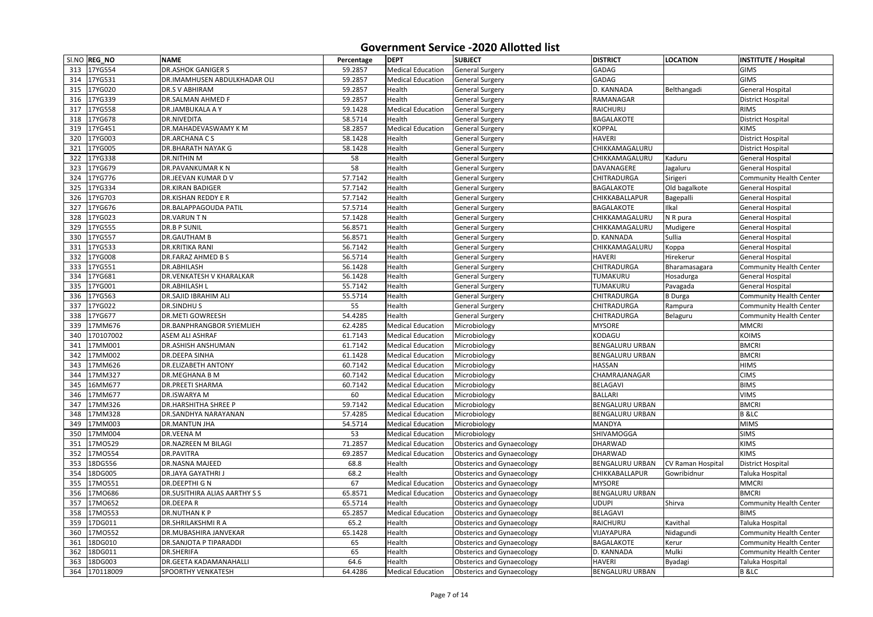|     | SI.NO REG_NO | <b>NAME</b>                          | Percentage | <b>DEPT</b>              | <b>SUBJECT</b>                   | <b>DISTRICT</b>        | <b>LOCATION</b>          | <b>INSTITUTE / Hospital</b>    |
|-----|--------------|--------------------------------------|------------|--------------------------|----------------------------------|------------------------|--------------------------|--------------------------------|
| 313 | 17YG554      | <b>DR.ASHOK GANIGER S</b>            | 59.2857    | <b>Medical Education</b> | <b>General Surgery</b>           | <b>GADAG</b>           |                          | <b>GIMS</b>                    |
| 314 | 17YG531      | DR.IMAMHUSEN ABDULKHADAR OLI         | 59.2857    | <b>Medical Education</b> | <b>General Surgery</b>           | <b>GADAG</b>           |                          | <b>GIMS</b>                    |
| 315 | 17YG020      | <b>DR.S V ABHIRAM</b>                | 59.2857    | Health                   | <b>General Surgery</b>           | D. KANNADA             | Belthangadi              | <b>General Hospital</b>        |
| 316 | 17YG339      | <b>DR.SALMAN AHMED F</b>             | 59.2857    | Health                   | <b>General Surgery</b>           | RAMANAGAR              |                          | <b>District Hospital</b>       |
| 317 | 17YG558      | <b>DR.JAMBUKALA A Y</b>              | 59.1428    | <b>Medical Education</b> | <b>General Surgery</b>           | RAICHURU               |                          | <b>RIMS</b>                    |
| 318 | 17YG678      | DR.NIVEDITA                          | 58.5714    | Health                   | <b>General Surgery</b>           | <b>BAGALAKOTE</b>      |                          | <b>District Hospital</b>       |
| 319 | 17YG451      | <b>DR.MAHADEVASWAMY KM</b>           | 58.2857    | <b>Medical Education</b> | <b>General Surgery</b>           | <b>KOPPAL</b>          |                          | <b>KIMS</b>                    |
| 320 | 17YG003      | <b>DR.ARCHANACS</b>                  | 58.1428    | Health                   | <b>General Surgery</b>           | <b>HAVERI</b>          |                          | <b>District Hospital</b>       |
| 321 | 17YG005      | <b>DR.BHARATH NAYAK G</b>            | 58.1428    | Health                   | <b>General Surgery</b>           | CHIKKAMAGALURU         |                          | <b>District Hospital</b>       |
| 322 | 17YG338      | <b>DR.NITHIN M</b>                   | 58         | Health                   | <b>General Surgery</b>           | CHIKKAMAGALURU         | Kaduru                   | <b>General Hospital</b>        |
| 323 | 17YG679      | <b>DR.PAVANKUMARKN</b>               | 58         | Health                   | <b>General Surgery</b>           | DAVANAGERE             | Jagaluru                 | <b>General Hospital</b>        |
| 324 | 17YG776      | <b>DR.JEEVAN KUMAR DV</b>            | 57.7142    | Health                   | <b>General Surgery</b>           | <b>CHITRADURGA</b>     | Sirigeri                 | <b>Community Health Center</b> |
| 325 | 17YG334      | <b>DR.KIRAN BADIGER</b>              | 57.7142    | Health                   | <b>General Surgery</b>           | <b>BAGALAKOTE</b>      | Old bagalkote            | <b>General Hospital</b>        |
| 326 | 17YG703      | <b>DR.KISHAN REDDY E R</b>           | 57.7142    | Health                   | <b>General Surgery</b>           | CHIKKABALLAPUR         | Bagepalli                | <b>General Hospital</b>        |
| 327 | 17YG676      | <b>DR.BALAPPAGOUDA PATIL</b>         | 57.5714    | Health                   | <b>General Surgery</b>           | <b>BAGALAKOTE</b>      | Ilkal                    | <b>General Hospital</b>        |
| 328 | 17YG023      | DR.VARUNTN                           | 57.1428    | Health                   | <b>General Surgery</b>           | CHIKKAMAGALURU         | N R pura                 | <b>General Hospital</b>        |
| 329 | 17YG555      | <b>DR.B P SUNIL</b>                  | 56.8571    | Health                   | <b>General Surgery</b>           | CHIKKAMAGALURU         | Mudigere                 | <b>General Hospital</b>        |
| 330 | 17YG557      | <b>DR.GAUTHAM B</b>                  | 56.8571    | Health                   | <b>General Surgery</b>           | D. KANNADA             | Sullia                   | <b>General Hospital</b>        |
| 331 | 17YG533      | <b>DR.KRITIKA RANI</b>               | 56.7142    | Health                   | <b>General Surgery</b>           | CHIKKAMAGALURU         | Koppa                    | <b>General Hospital</b>        |
| 332 | 17YG008      | <b>DR.FARAZ AHMED B S</b>            | 56.5714    | Health                   | <b>General Surgery</b>           | <b>HAVERI</b>          | Hirekerur                | <b>General Hospital</b>        |
| 333 | 17YG551      | <b>DR.ABHILASH</b>                   | 56.1428    | Health                   | <b>General Surgery</b>           | <b>CHITRADURGA</b>     | Bharamasagara            | <b>Community Health Center</b> |
| 334 | 17YG681      | <b>DR.VENKATESH V KHARALKAR</b>      | 56.1428    | Health                   | <b>General Surgery</b>           | <b>TUMAKURU</b>        | Hosadurga                | <b>General Hospital</b>        |
| 335 | 17YG001      | <b>DR.ABHILASH L</b>                 | 55.7142    | Health                   | <b>General Surgery</b>           | <b>TUMAKURU</b>        | Pavagada                 | <b>General Hospital</b>        |
| 336 | 17YG563      | <b>DR.SAJID IBRAHIM ALI</b>          | 55.5714    | Health                   | <b>General Surgery</b>           | <b>CHITRADURGA</b>     | <b>B</b> Durga           | <b>Community Health Center</b> |
| 337 | 17YG022      | <b>DR.SINDHUS</b>                    | 55         | Health                   | <b>General Surgery</b>           | <b>CHITRADURGA</b>     | Rampura                  | <b>Community Health Center</b> |
| 338 | 17YG677      | <b>DR.METI GOWREESH</b>              | 54.4285    | Health                   | <b>General Surgery</b>           | <b>CHITRADURGA</b>     | Belaguru                 | <b>Community Health Center</b> |
| 339 | 17MM676      | <b>DR.BANPHRANGBOR SYIEMLIEH</b>     | 62.4285    | <b>Medical Education</b> | Microbiology                     | <b>MYSORE</b>          |                          | <b>MMCRI</b>                   |
| 340 | 170107002    | <b>ASEM ALI ASHRAF</b>               | 61.7143    | <b>Medical Education</b> | Microbiology                     | <b>KODAGU</b>          |                          | <b>KOIMS</b>                   |
| 341 | 17MM001      | <b>DR.ASHISH ANSHUMAN</b>            | 61.7142    | <b>Medical Education</b> | Microbiology                     | <b>BENGALURU URBAN</b> |                          | <b>BMCRI</b>                   |
| 342 | 17MM002      | <b>DR.DEEPA SINHA</b>                | 61.1428    | <b>Medical Education</b> | Microbiology                     | <b>BENGALURU URBAN</b> |                          | <b>BMCRI</b>                   |
|     | 343 17MM626  | <b>DR.ELIZABETH ANTONY</b>           | 60.7142    | <b>Medical Education</b> | Microbiology                     | <b>HASSAN</b>          |                          | <b>HIMS</b>                    |
| 344 | 17MM327      | <b>DR.MEGHANA B M</b>                | 60.7142    | <b>Medical Education</b> | Microbiology                     | CHAMRAJANAGAR          |                          | <b>CIMS</b>                    |
| 345 | 16MM677      | <b>DR.PREETI SHARMA</b>              | 60.7142    | <b>Medical Education</b> | Microbiology                     | <b>BELAGAVI</b>        |                          | <b>BIMS</b>                    |
| 346 | 17MM677      | <b>DR.ISWARYA M</b>                  | 60         | <b>Medical Education</b> | Microbiology                     | <b>BALLARI</b>         |                          | <b>VIMS</b>                    |
| 347 | 17MM326      | <b>DR.HARSHITHA SHREE P</b>          | 59.7142    | <b>Medical Education</b> | Microbiology                     | <b>BENGALURU URBAN</b> |                          | <b>BMCRI</b>                   |
| 348 | 17MM328      | DR.SANDHYA NARAYANAN                 | 57.4285    | <b>Medical Education</b> | Microbiology                     | <b>BENGALURU URBAN</b> |                          | <b>B</b> & LC                  |
| 349 | 17MM003      | <b>DR.MANTUN JHA</b>                 | 54.5714    | <b>Medical Education</b> | Microbiology                     | MANDYA                 |                          | <b>MIMS</b>                    |
| 350 | 17MM004      | <b>DR.VEENA M</b>                    | 53         | <b>Medical Education</b> | Microbiology                     | <b>SHIVAMOGGA</b>      |                          | <b>SIMS</b>                    |
| 351 | 17M0529      | <b>DR.NAZREEN M BILAGI</b>           | 71.2857    | <b>Medical Education</b> | <b>Obsterics and Gynaecology</b> | <b>DHARWAD</b>         |                          | <b>KIMS</b>                    |
| 352 | 17M0554      | <b>DR.PAVITRA</b>                    | 69.2857    | <b>Medical Education</b> | <b>Obsterics and Gynaecology</b> | <b>DHARWAD</b>         |                          | <b>KIMS</b>                    |
| 353 | 18DG556      | <b>DR.NASNA MAJEED</b>               | 68.8       | Health                   | <b>Obsterics and Gynaecology</b> | <b>BENGALURU URBAN</b> | <b>CV Raman Hospital</b> | <b>District Hospital</b>       |
| 354 | 18DG005      | <b>DR.JAYA GAYATHRIJ</b>             | 68.2       | Health                   | <b>Obsterics and Gynaecology</b> | <b>CHIKKABALLAPUR</b>  | Gowribidnur              | Taluka Hospital                |
| 355 | 17M0551      | <b>DR.DEEPTHI G N</b>                | 67         | <b>Medical Education</b> | <b>Obsterics and Gynaecology</b> | <b>MYSORE</b>          |                          | <b>MMCRI</b>                   |
| 356 | 17M0686      | <b>DR.SUSITHIRA ALIAS AARTHY S S</b> | 65.8571    | <b>Medical Education</b> | <b>Obsterics and Gynaecology</b> | <b>BENGALURU URBAN</b> |                          | <b>BMCRI</b>                   |
| 357 | 17M0652      | <b>DR.DEEPAR</b>                     | 65.5714    | Health                   | <b>Obsterics and Gynaecology</b> | <b>UDUPI</b>           | Shirva                   | <b>Community Health Center</b> |
| 358 | 17M0553      | <b>DR.NUTHANKP</b>                   | 65.2857    | <b>Medical Education</b> | <b>Obsterics and Gynaecology</b> | <b>BELAGAVI</b>        |                          | <b>BIMS</b>                    |
| 359 | 17DG011      | <b>DR.SHRILAKSHMI R A</b>            | 65.2       | Health                   | <b>Obsterics and Gynaecology</b> | RAICHURU               | Kavithal                 | Taluka Hospital                |
| 360 | 17M0552      | DR.MUBASHIRA JANVEKAR                | 65.1428    | Health                   | <b>Obsterics and Gynaecology</b> | VIJAYAPURA             | Nidagundi                | <b>Community Health Center</b> |
| 361 | 18DG010      | <b>DR.SANJOTA P TIPARADDI</b>        | 65         | Health                   | <b>Obsterics and Gynaecology</b> | <b>BAGALAKOTE</b>      | Kerur                    | <b>Community Health Center</b> |
| 362 | 18DG011      | <b>DR.SHERIFA</b>                    | 65         | Health                   | <b>Obsterics and Gynaecology</b> | D. KANNADA             | Mulki                    | <b>Community Health Center</b> |
| 363 | 18DG003      | <b>DR.GEETA KADAMANAHALLI</b>        | 64.6       | Health                   | <b>Obsterics and Gynaecology</b> | <b>HAVERI</b>          | Byadagi                  | Taluka Hospital                |
| 364 | 170118009    | <b>SPOORTHY VENKATESH</b>            | 64.4286    | <b>Medical Education</b> | <b>Obsterics and Gynaecology</b> | <b>BENGALURU URBAN</b> |                          | <b>B</b> & LC                  |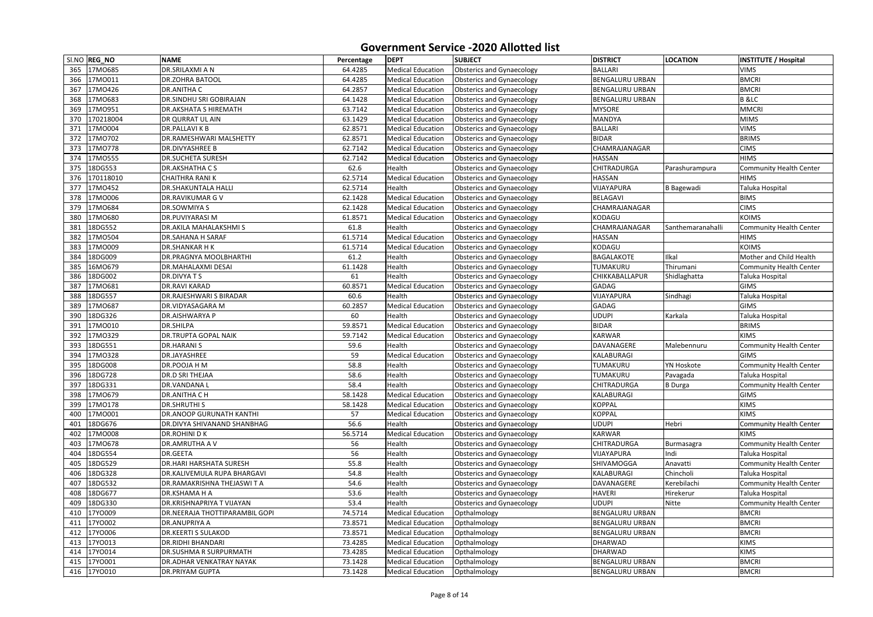|            | SI.NO REG_NO       | <b>NAME</b>                                           | Percentage    | <b>DEPT</b>                                          | <b>SUBJECT</b>                                                       | <b>DISTRICT</b>                     | <b>LOCATION</b>   | <b>INSTITUTE / Hospital</b>                   |
|------------|--------------------|-------------------------------------------------------|---------------|------------------------------------------------------|----------------------------------------------------------------------|-------------------------------------|-------------------|-----------------------------------------------|
| 365        | 17M0685            | <b>DR.SRILAXMI A N</b>                                | 64.4285       | <b>Medical Education</b>                             | <b>Obsterics and Gynaecology</b>                                     | <b>BALLARI</b>                      |                   | <b>VIMS</b>                                   |
| 366        | 17M0011            | <b>DR.ZOHRA BATOOL</b>                                | 64.4285       | <b>Medical Education</b>                             | <b>Obsterics and Gynaecology</b>                                     | <b>BENGALURU URBAN</b>              |                   | <b>BMCRI</b>                                  |
| 367        | 17M0426            | <b>DR.ANITHA C</b>                                    | 64.2857       | <b>Medical Education</b>                             | <b>Obsterics and Gynaecology</b>                                     | <b>BENGALURU URBAN</b>              |                   | <b>BMCRI</b>                                  |
| 368        | 17M0683            | <b>DR.SINDHU SRI GOBIRAJAN</b>                        | 64.1428       | <b>Medical Education</b>                             | <b>Obsterics and Gynaecology</b>                                     | <b>BENGALURU URBAN</b>              |                   | <b>B</b> & LC                                 |
| 369        | 17M0951            | <b>DR.AKSHATA S HIREMATH</b>                          | 63.7142       | <b>Medical Education</b>                             | <b>Obsterics and Gynaecology</b>                                     | <b>MYSORE</b>                       |                   | <b>MMCRI</b>                                  |
| 370        | 170218004          | <b>DR QURRAT UL AIN</b>                               | 63.1429       | <b>Medical Education</b>                             | <b>Obsterics and Gynaecology</b>                                     | <b>MANDYA</b>                       |                   | <b>MIMS</b>                                   |
| 371        | 17M0004            | <b>DR.PALLAVIKB</b>                                   | 62.8571       | <b>Medical Education</b>                             | <b>Obsterics and Gynaecology</b>                                     | <b>BALLARI</b>                      |                   | <b>VIMS</b>                                   |
| 372        | 17MO702            | <b>DR.RAMESHWARI MALSHETTY</b>                        | 62.8571       | <b>Medical Education</b>                             | <b>Obsterics and Gynaecology</b>                                     | <b>BIDAR</b>                        |                   | <b>BRIMS</b>                                  |
| 373        | 17M0778            | <b>DR.DIVYASHREE B</b>                                | 62.7142       | <b>Medical Education</b>                             | <b>Obsterics and Gynaecology</b>                                     | CHAMRAJANAGAR                       |                   | <b>CIMS</b>                                   |
| 374        | 17M0555            | <b>DR.SUCHETA SURESH</b>                              | 62.7142       | <b>Medical Education</b>                             | <b>Obsterics and Gynaecology</b>                                     | <b>HASSAN</b>                       |                   | <b>HIMS</b>                                   |
| 375        | 18DG553            | <b>DR.AKSHATHA CS</b>                                 | 62.6          | Health                                               | <b>Obsterics and Gynaecology</b>                                     | <b>CHITRADURGA</b>                  | Parashurampura    | <b>Community Health Center</b>                |
| 376        | 170118010          | <b>CHAITHRA RANIK</b>                                 | 62.5714       | <b>Medical Education</b>                             | <b>Obsterics and Gynaecology</b>                                     | <b>HASSAN</b>                       |                   | <b>HIMS</b>                                   |
| 377        | 17M0452            | <b>DR.SHAKUNTALA HALLI</b>                            | 62.5714       | Health                                               | <b>Obsterics and Gynaecology</b>                                     | VIJAYAPURA                          | <b>B</b> Bagewadi | <b>Taluka Hospital</b>                        |
| 378        | 17MO006            | <b>DR.RAVIKUMAR G V</b>                               | 62.1428       | <b>Medical Education</b>                             | <b>Obsterics and Gynaecology</b>                                     | <b>BELAGAVI</b>                     |                   | <b>BIMS</b>                                   |
| 379        | 17M0684            | <b>DR.SOWMIYA S</b>                                   | 62.1428       | <b>Medical Education</b>                             | <b>Obsterics and Gynaecology</b>                                     | CHAMRAJANAGAR                       |                   | <b>CIMS</b>                                   |
| 380        | 17M0680            | <b>DR.PUVIYARASI M</b>                                | 61.8571       | <b>Medical Education</b>                             | <b>Obsterics and Gynaecology</b>                                     | KODAGU                              |                   | <b>KOIMS</b>                                  |
| 381        | 18DG552            | <b>DR.AKILA MAHALAKSHMI S</b>                         | 61.8          | Health                                               | <b>Obsterics and Gynaecology</b>                                     | CHAMRAJANAGAR                       | Santhemaranahalli | <b>Community Health Center</b>                |
| 382        | I7M0504            | <b>DR.SAHANA H SARAF</b>                              | 61.5714       | <b>Medical Education</b>                             | <b>Obsterics and Gynaecology</b>                                     | <b>HASSAN</b>                       |                   | <b>HIMS</b>                                   |
| 383        | 17M0009            | <b>DR.SHANKAR HK</b>                                  | 61.5714       | <b>Medical Education</b>                             | <b>Obsterics and Gynaecology</b>                                     | KODAGU                              |                   | <b>KOIMS</b>                                  |
| 384        | 18DG009            | <b>DR.PRAGNYA MOOLBHARTHI</b>                         | 61.2          | Health                                               | <b>Obsterics and Gynaecology</b>                                     | <b>BAGALAKOTE</b>                   | Ilkal             | Mother and Child Health                       |
| 385        | 16MO679            | <b>DR.MAHALAXMI DESAI</b>                             | 61.1428       | Health                                               | <b>Obsterics and Gynaecology</b>                                     | TUMAKURU                            | Thirumani         | <b>Community Health Center</b>                |
| 386        | 18DG002            | DR.DIVYATS                                            | 61            | Health                                               | <b>Obsterics and Gynaecology</b>                                     | CHIKKABALLAPUR                      | Shidlaghatta      | Taluka Hospital                               |
| 387        | 17M0681            | <b>DR.RAVI KARAD</b>                                  | 60.8571       | <b>Medical Education</b>                             | <b>Obsterics and Gynaecology</b>                                     | <b>GADAG</b>                        |                   | <b>GIMS</b>                                   |
| 388        | 18DG557            | <b>DR.RAJESHWARI S BIRADAR</b>                        | 60.6          | Health                                               | <b>Obsterics and Gynaecology</b>                                     | VIJAYAPURA                          | Sindhagi          | <b>Taluka Hospital</b>                        |
| 389        | 17M0687            | DR.VIDYASAGARA M                                      | 60.2857       | <b>Medical Education</b>                             | <b>Obsterics and Gynaecology</b>                                     | <b>GADAG</b>                        |                   | <b>GIMS</b>                                   |
| 390        | 18DG326            | <b>DR.AISHWARYA P</b>                                 | 60            | Health                                               | <b>Obsterics and Gynaecology</b>                                     | <b>UDUPI</b>                        | Karkala           | Taluka Hospital                               |
| 391        | 17M0010            | <b>DR.SHILPA</b>                                      | 59.8571       | <b>Medical Education</b>                             | <b>Obsterics and Gynaecology</b>                                     | <b>BIDAR</b>                        |                   | <b>BRIMS</b>                                  |
| 392        | 17MO329            | <b>DR.TRUPTA GOPAL NAIK</b>                           | 59.7142       | <b>Medical Education</b>                             | <b>Obsterics and Gynaecology</b>                                     | <b>KARWAR</b>                       |                   | <b>KIMS</b>                                   |
| 393        | 18DG551            | <b>DR.HARANIS</b>                                     | 59.6          | Health                                               | <b>Obsterics and Gynaecology</b>                                     | DAVANAGERE                          | Malebennuru       | <b>Community Health Center</b>                |
| 394        | 17M0328            | <b>DR.JAYASHREE</b>                                   | 59            | <b>Medical Education</b>                             | <b>Obsterics and Gynaecology</b>                                     | <b>KALABURAGI</b>                   |                   | <b>GIMS</b>                                   |
|            | 395 18DG008        | DR.POOJA H M                                          | 58.8          | Health                                               | <b>Obsterics and Gynaecology</b>                                     | TUMAKURU                            | <b>YN Hoskote</b> | Community Health Center                       |
| 396        | 18DG728            | <b>DR.D SRI THEJAA</b>                                | 58.6          | Health                                               | <b>Obsterics and Gynaecology</b>                                     | <b>TUMAKURU</b>                     | Pavagada          | Taluka Hospital                               |
| 397        | 18DG331            | DR.VANDANAL                                           | 58.4          | Health                                               | <b>Obsterics and Gynaecology</b>                                     | <b>CHITRADURGA</b>                  | <b>B</b> Durga    | <b>Community Health Center</b>                |
| 398        | 17M0679            | <b>DR.ANITHA CH</b>                                   | 58.1428       | <b>Medical Education</b>                             | <b>Obsterics and Gynaecology</b>                                     | KALABURAGI                          |                   | <b>GIMS</b>                                   |
|            |                    |                                                       |               |                                                      |                                                                      |                                     |                   | <b>KIMS</b>                                   |
| 399<br>400 | 17M0178<br>17M0001 | <b>DR.SHRUTHIS</b><br><b>DR.ANOOP GURUNATH KANTHI</b> | 58.1428       | <b>Medical Education</b><br><b>Medical Education</b> | <b>Obsterics and Gynaecology</b>                                     | <b>KOPPAL</b>                       |                   | <b>KIMS</b>                                   |
|            |                    |                                                       | 57            |                                                      | <b>Obsterics and Gynaecology</b>                                     | <b>KOPPAL</b>                       | Hebri             |                                               |
| 401        | 18DG676            | <b>DR.DIVYA SHIVANAND SHANBHAG</b>                    | 56.6          | Health                                               | <b>Obsterics and Gynaecology</b>                                     | <b>UDUPI</b>                        |                   | <b>Community Health Center</b>                |
| 402        | 17M0008<br>17M0678 | <b>DR.ROHINI DK</b><br>DR.AMRUTHA A V                 | 56.5714<br>56 | <b>Medical Education</b><br>Health                   | <b>Obsterics and Gynaecology</b><br><b>Obsterics and Gynaecology</b> | <b>KARWAR</b><br><b>CHITRADURGA</b> |                   | <b>KIMS</b><br><b>Community Health Center</b> |
| 403        |                    |                                                       |               |                                                      |                                                                      |                                     | Burmasagra        |                                               |
| 404        | 18DG554            | <b>DR.GEETA</b>                                       | 56            | Health                                               | <b>Obsterics and Gynaecology</b>                                     | VIJAYAPURA                          | Indi              | Taluka Hospital                               |
| 405        | 18DG529            | <b>DR.HARI HARSHATA SURESH</b>                        | 55.8          | Health                                               | <b>Obsterics and Gynaecology</b>                                     | <b>SHIVAMOGGA</b>                   | Anavatti          | <b>Community Health Center</b>                |
| 406        | 18DG328            | DR.KALIVEMULA RUPA BHARGAVI                           | 54.8          | Health                                               | <b>Obsterics and Gynaecology</b>                                     | KALABURAGI                          | Chincholi         | Taluka Hospital                               |
| 407        | 18DG532            | DR.RAMAKRISHNA THEJASWI T A                           | 54.6          | Health                                               | <b>Obsterics and Gynaecology</b>                                     | DAVANAGERE                          | Kerebilachi       | <b>Community Health Center</b>                |
| 408        | 18DG677            | <b>DR.KSHAMA H A</b>                                  | 53.6          | Health                                               | <b>Obsterics and Gynaecology</b>                                     | <b>HAVERI</b>                       | Hirekerur         | Taluka Hospital                               |
| 409        | 18DG330            | <b>DR.KRISHNAPRIYA T VIJAYAN</b>                      | 53.4          | Health                                               | <b>Obsterics and Gynaecology</b>                                     | <b>UDUPI</b>                        | Nitte             | <b>Community Health Center</b>                |
| 410        | 17YO009            | DR. NEERAJA THOTTIPARAMBIL GOPI                       | 74.5714       | <b>Medical Education</b>                             | Opthalmology                                                         | <b>BENGALURU URBAN</b>              |                   | <b>BMCRI</b>                                  |
| 411        | 17YO002            | <b>DR.ANUPRIYA A</b>                                  | 73.8571       | <b>Medical Education</b>                             | Opthalmology                                                         | <b>BENGALURU URBAN</b>              |                   | <b>BMCRI</b>                                  |
| 412        | 17YO006            | <b>DR.KEERTI S SULAKOD</b>                            | 73.8571       | <b>Medical Education</b>                             | Opthalmology                                                         | <b>BENGALURU URBAN</b>              |                   | <b>BMCRI</b>                                  |
| 413        | 17YO013            | <b>DR.RIDHI BHANDARI</b>                              | 73.4285       | <b>Medical Education</b>                             | Opthalmology                                                         | <b>DHARWAD</b>                      |                   | <b>KIMS</b>                                   |
| 414        | 17Y0014            | <b>DR.SUSHMA R SURPURMATH</b>                         | 73.4285       | <b>Medical Education</b>                             | Opthalmology                                                         | <b>DHARWAD</b>                      |                   | <b>KIMS</b>                                   |
| 415        | 17YO001            | <b>DR.ADHAR VENKATRAY NAYAK</b>                       | 73.1428       | <b>Medical Education</b>                             | Opthalmology                                                         | <b>BENGALURU URBAN</b>              |                   | <b>BMCRI</b>                                  |
|            | 416 17YO010        | <b>DR.PRIYAM GUPTA</b>                                | 73.1428       | <b>Medical Education</b>                             | Opthalmology                                                         | <b>BENGALURU URBAN</b>              |                   | <b>BMCRI</b>                                  |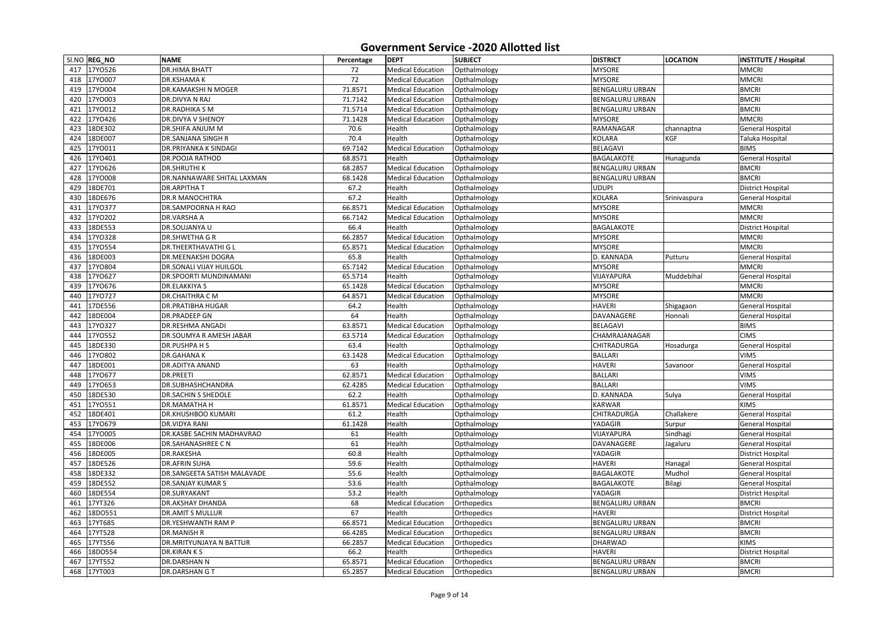|     | SI.NO REG_NO | <b>NAME</b>                      | Percentage | <b>DEPT</b>              | <b>SUBJECT</b> | <b>DISTRICT</b>        | <b>LOCATION</b> | <b>INSTITUTE / Hospital</b> |
|-----|--------------|----------------------------------|------------|--------------------------|----------------|------------------------|-----------------|-----------------------------|
| 417 | 17Y0526      | <b>DR.HIMA BHATT</b>             | 72         | <b>Medical Education</b> | Opthalmology   | <b>MYSORE</b>          |                 | <b>MMCRI</b>                |
| 418 | 17YO007      | <b>DR.KSHAMAK</b>                | 72         | <b>Medical Education</b> | Opthalmology   | <b>MYSORE</b>          |                 | <b>MMCRI</b>                |
| 419 | 17YO004      | <b>DR.KAMAKSHI N MOGER</b>       | 71.8571    | <b>Medical Education</b> | Opthalmology   | <b>BENGALURU URBAN</b> |                 | <b>BMCRI</b>                |
| 420 | 17YO003      | DR.DIVYA N RAJ                   | 71.7142    | <b>Medical Education</b> | Opthalmology   | <b>BENGALURU URBAN</b> |                 | <b>BMCRI</b>                |
| 421 | 17YO012      | <b>DR.RADHIKA S M</b>            | 71.5714    | Medical Education        | Opthalmology   | <b>BENGALURU URBAN</b> |                 | <b>BMCRI</b>                |
| 422 | 17YO426      | <b>DR.DIVYA V SHENOY</b>         | 71.1428    | <b>Medical Education</b> | Opthalmology   | <b>MYSORE</b>          |                 | <b>MMCRI</b>                |
| 423 | 18DE302      | <b>DR.SHIFA ANJUM M</b>          | 70.6       | Health                   | Opthalmology   | RAMANAGAR              | channaptna      | <b>General Hospital</b>     |
| 424 | 18DE007      | <b>DR.SANJANA SINGH R</b>        | 70.4       | Health                   | Opthalmology   | <b>KOLARA</b>          | <b>KGF</b>      | Taluka Hospital             |
| 425 | 17YO011      | <b>DR.PRIYANKA K SINDAGI</b>     | 69.7142    | <b>Medical Education</b> | Opthalmology   | <b>BELAGAVI</b>        |                 | <b>BIMS</b>                 |
| 426 | 17YO401      | <b>DR.POOJA RATHOD</b>           | 68.8571    | Health                   | Opthalmology   | <b>BAGALAKOTE</b>      | Hunagunda       | <b>General Hospital</b>     |
| 427 | 17YO626      | <b>DR.SHRUTHIK</b>               | 68.2857    | <b>Medical Education</b> | Opthalmology   | <b>BENGALURU URBAN</b> |                 | <b>BMCRI</b>                |
| 428 | 17YO008      | DR.NANNAWARE SHITAL LAXMAN       | 68.1428    | <b>Medical Education</b> | Opthalmology   | <b>BENGALURU URBAN</b> |                 | <b>BMCRI</b>                |
| 429 | 18DE701      | <b>DR.ARPITHA T</b>              | 67.2       | Health                   | Opthalmology   | <b>UDUPI</b>           |                 | <b>District Hospital</b>    |
| 430 | 18DE676      | <b>DR.R MANOCHITRA</b>           | 67.2       | Health                   | Opthalmology   | <b>KOLARA</b>          | Srinivaspura    | <b>General Hospital</b>     |
| 431 | 17Y0377      | DR.SAMPOORNA H RAO               | 66.8571    | <b>Medical Education</b> | Opthalmology   | <b>MYSORE</b>          |                 | <b>MMCRI</b>                |
| 432 | 17YO202      | <b>DR.VARSHA A</b>               | 66.7142    | <b>Medical Education</b> | Opthalmology   | <b>MYSORE</b>          |                 | <b>MMCRI</b>                |
| 433 | 18DE553      | <b>DR.SOUJANYA U</b>             | 66.4       | Health                   | Opthalmology   | <b>BAGALAKOTE</b>      |                 | <b>District Hospital</b>    |
| 434 | 17YO328      | <b>DR.SHWETHA G R</b>            | 66.2857    | <b>Medical Education</b> | Opthalmology   | <b>MYSORE</b>          |                 | <b>MMCRI</b>                |
| 435 | 17Y0554      | <b>DR.THEERTHAVATHI G L</b>      | 65.8571    | <b>Medical Education</b> | Opthalmology   | <b>MYSORE</b>          |                 | <b>MMCRI</b>                |
| 436 | 18DE003      | <b>DR.MEENAKSHI DOGRA</b>        | 65.8       | Health                   | Opthalmology   | D. KANNADA             | Putturu         | <b>General Hospital</b>     |
| 437 | 17Y0804      | <b>DR.SONALI VIJAY HUILGOL</b>   | 65.7142    | <b>Medical Education</b> | Opthalmology   | <b>MYSORE</b>          |                 | <b>MMCRI</b>                |
| 438 | 17Y0627      | <b>DR.SPOORTI MUNDINAMANI</b>    | 65.5714    | Health                   | Opthalmology   | VIJAYAPURA             | Muddebihal      | <b>General Hospital</b>     |
| 439 | 17YO676      | <b>DR.ELAKKIYA S</b>             | 65.1428    | <b>Medical Education</b> | Opthalmology   | <b>MYSORE</b>          |                 | <b>MMCRI</b>                |
| 440 | 17Y0727      | <b>DR.CHAITHRA C M</b>           | 64.8571    | <b>Medical Education</b> | Opthalmology   | <b>MYSORE</b>          |                 | <b>MMCRI</b>                |
| 441 | 17DE556      | <b>DR.PRATIBHA HUGAR</b>         | 64.2       | Health                   | Opthalmology   | <b>HAVERI</b>          | Shigagaon       | <b>General Hospital</b>     |
| 442 | 18DE004      | <b>DR.PRADEEP GN</b>             | 64         | Health                   | Opthalmology   | <b>DAVANAGERE</b>      | Honnali         | <b>General Hospital</b>     |
| 443 | 17Y0327      | <b>DR.RESHMA ANGADI</b>          | 63.8571    | <b>Medical Education</b> | Opthalmology   | <b>BELAGAVI</b>        |                 | <b>BIMS</b>                 |
| 444 | 17YO552      | DR.SOUMYA R AMESH JABAR          | 63.5714    | <b>Medical Education</b> | Opthalmology   | CHAMRAJANAGAR          |                 | <b>CIMS</b>                 |
| 445 | 18DE330      | <b>DR.PUSHPA H S</b>             | 63.4       | Health                   | Opthalmology   | <b>CHITRADURGA</b>     | Hosadurga       | <b>General Hospital</b>     |
| 446 | 17YO802      | <b>DR.GAHANAK</b>                | 63.1428    | <b>Medical Education</b> | Opthalmology   | <b>BALLARI</b>         |                 | <b>VIMS</b>                 |
|     | 447 18DE001  | <b>DR.ADITYA ANAND</b>           | 63         | Health                   | Opthalmology   | <b>HAVERI</b>          | Savanoor        | General Hospital            |
| 448 | 17Y0677      | <b>DR.PREETI</b>                 | 62.8571    | <b>Medical Education</b> | Opthalmology   | <b>BALLARI</b>         |                 | <b>VIMS</b>                 |
| 449 | 17Y0653      | <b>DR.SUBHASHCHANDRA</b>         | 62.4285    | <b>Medical Education</b> | Opthalmology   | <b>BALLARI</b>         |                 | <b>VIMS</b>                 |
| 450 | 18DE530      | <b>DR.SACHIN S SHEDOLE</b>       | 62.2       | Health                   | Opthalmology   | D. KANNADA             | Sulya           | <b>General Hospital</b>     |
| 451 | 17Y0551      | <b>DR.MAMATHA H</b>              | 61.8571    | <b>Medical Education</b> | Opthalmology   | <b>KARWAR</b>          |                 | <b>KIMS</b>                 |
| 452 | 18DE401      | <b>DR.KHUSHBOO KUMARI</b>        | 61.2       | Health                   | Opthalmology   | <b>CHITRADURGA</b>     | Challakere      | <b>General Hospital</b>     |
| 453 | 17Y0679      | <b>DR.VIDYA RANI</b>             | 61.1428    | Health                   | Opthalmology   | YADAGIR                | Surpur          | <b>General Hospital</b>     |
| 454 | 17YO005      | <b>DR.KASBE SACHIN MADHAVRAO</b> | 61         | Health                   | Opthalmology   | VIJAYAPURA             | Sindhagi        | <b>General Hospital</b>     |
| 455 | 18DE006      | <b>DR.SAHANASHREE CN</b>         | 61         | Health                   | Opthalmology   | DAVANAGERE             | Jagaluru        | <b>General Hospital</b>     |
| 456 | 18DE005      | <b>DR.RAKESHA</b>                | 60.8       | Health                   | Opthalmology   | YADAGIR                |                 | <b>District Hospital</b>    |
| 457 | 18DE526      | <b>DR.AFRIN SUHA</b>             | 59.6       | Health                   | Opthalmology   | <b>HAVERI</b>          | Hanagal         | <b>General Hospital</b>     |
| 458 | 18DE332      | DR.SANGEETA SATISH MALAVADE      | 55.6       | Health                   | Opthalmology   | <b>BAGALAKOTE</b>      | Mudhol          | <b>General Hospital</b>     |
| 459 | 18DE552      | <b>DR.SANJAY KUMAR S</b>         | 53.6       | Health                   | Opthalmology   | <b>BAGALAKOTE</b>      | Bilagi          | <b>General Hospital</b>     |
| 460 | 18DE554      | <b>DR.SURYAKANT</b>              | 53.2       | Health                   | Opthalmology   | <b>YADAGIR</b>         |                 | <b>District Hospital</b>    |
| 461 | 17YT326      | <b>DR.AKSHAY DHANDA</b>          | 68         | <b>Medical Education</b> | Orthopedics    | <b>BENGALURU URBAN</b> |                 | <b>BMCRI</b>                |
| 462 | 18D0551      | <b>DR.AMIT S MULLUR</b>          | 67         | Health                   | Orthopedics    | <b>HAVERI</b>          |                 | District Hospital           |
| 463 | 17YT685      | DR.YESHWANTH RAM P               | 66.8571    | <b>Medical Education</b> | Orthopedics    | <b>BENGALURU URBAN</b> |                 | <b>BMCRI</b>                |
| 464 | 17YT528      | <b>DR.MANISH R</b>               | 66.4285    | <b>Medical Education</b> | Orthopedics    | <b>BENGALURU URBAN</b> |                 | <b>BMCRI</b>                |
| 465 | 17YT556      | DR.MRITYUNJAYA N BATTUR          | 66.2857    | <b>Medical Education</b> | Orthopedics    | <b>DHARWAD</b>         |                 | <b>KIMS</b>                 |
| 466 | 18DO554      | <b>DR.KIRAN KS</b>               | 66.2       | Health                   | Orthopedics    | <b>HAVERI</b>          |                 | <b>District Hospital</b>    |
| 467 | 17YT552      | <b>DR.DARSHAN N</b>              | 65.8571    | <b>Medical Education</b> | Orthopedics    | <b>BENGALURU URBAN</b> |                 | <b>BMCRI</b>                |
|     | 468 17YT003  | <b>DR.DARSHAN GT</b>             | 65.2857    | <b>Medical Education</b> | Orthopedics    | <b>BENGALURU URBAN</b> |                 | <b>BMCRI</b>                |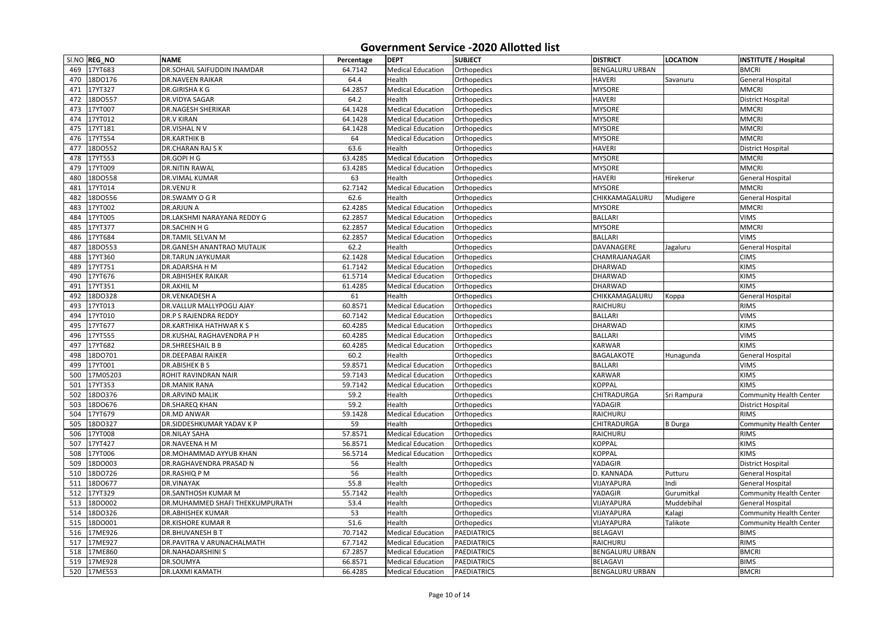|     | SI.NO REG_NO | <b>NAME</b>                        | Percentage | <b>DEPT</b>              | <b>SUBJECT</b>     | <b>DISTRICT</b>        | <b>LOCATION</b> | <b>INSTITUTE / Hospital</b>    |
|-----|--------------|------------------------------------|------------|--------------------------|--------------------|------------------------|-----------------|--------------------------------|
| 469 | 17YT683      | <b>DR.SOHAIL SAIFUDDIN INAMDAR</b> | 64.7142    | <b>Medical Education</b> | Orthopedics        | <b>BENGALURU URBAN</b> |                 | <b>BMCRI</b>                   |
| 470 | 18DO176      | <b>DR.NAVEEN RAIKAR</b>            | 64.4       | Health                   | Orthopedics        | <b>HAVERI</b>          | Savanuru        | <b>General Hospital</b>        |
| 471 | 17YT327      | DR.GIRISHAKG                       | 64.2857    | <b>Medical Education</b> | Orthopedics        | <b>MYSORE</b>          |                 | <b>MMCRI</b>                   |
| 472 | 18DO557      | <b>DR.VIDYA SAGAR</b>              | 64.2       | Health                   | Orthopedics        | <b>HAVERI</b>          |                 | <b>District Hospital</b>       |
| 473 | 17YT007      | <b>DR.NAGESH SHERIKAR</b>          | 64.1428    | <b>Medical Education</b> | Orthopedics        | <b>MYSORE</b>          |                 | <b>MMCRI</b>                   |
| 474 | 17YT012      | <b>DR.V KIRAN</b>                  | 64.1428    | <b>Medical Education</b> | Orthopedics        | <b>MYSORE</b>          |                 | <b>MMCRI</b>                   |
| 475 | 17YT181      | DR.VISHAL N V                      | 64.1428    | <b>Medical Education</b> | Orthopedics        | <b>MYSORE</b>          |                 | <b>MMCRI</b>                   |
| 476 | 17YT554      | <b>DR.KARTHIK B</b>                | 64         | <b>Medical Education</b> | Orthopedics        | <b>MYSORE</b>          |                 | <b>MMCRI</b>                   |
| 477 | 18DO552      | <b>DR.CHARAN RAJ S K</b>           | 63.6       | Health                   | Orthopedics        | <b>HAVERI</b>          |                 | <b>District Hospital</b>       |
| 478 | 17YT553      | DR.GOPI H G                        | 63.4285    | <b>Medical Education</b> | Orthopedics        | <b>MYSORE</b>          |                 | <b>MMCRI</b>                   |
| 479 | 17YT009      | <b>DR.NITIN RAWAL</b>              | 63.4285    | <b>Medical Education</b> | Orthopedics        | <b>MYSORE</b>          |                 | <b>MMCRI</b>                   |
| 480 | 18DO558      | <b>DR.VIMAL KUMAR</b>              | 63         | Health                   | Orthopedics        | <b>HAVERI</b>          | Hirekerur       | <b>General Hospital</b>        |
| 481 | 17YT014      | <b>DR.VENUR</b>                    | 62.7142    | <b>Medical Education</b> | Orthopedics        | <b>MYSORE</b>          |                 | <b>MMCRI</b>                   |
| 482 | 18DO556      | DR.SWAMY O G R                     | 62.6       | Health                   | Orthopedics        | CHIKKAMAGALURU         | Mudigere        | <b>General Hospital</b>        |
| 483 | 17YT002      | <b>DR.ARJUN A</b>                  | 62.4285    | <b>Medical Education</b> | Orthopedics        | <b>MYSORE</b>          |                 | <b>MMCRI</b>                   |
| 484 | 17YT005      | <b>DR.LAKSHMI NARAYANA REDDY G</b> | 62.2857    | <b>Medical Education</b> | Orthopedics        | <b>BALLARI</b>         |                 | <b>VIMS</b>                    |
| 485 | 17YT377      | DR.SACHIN H G                      | 62.2857    | <b>Medical Education</b> | Orthopedics        | <b>MYSORE</b>          |                 | <b>MMCRI</b>                   |
| 486 | 17YT684      | <b>DR.TAMIL SELVAN M</b>           | 62.2857    | <b>Medical Education</b> | Orthopedics        | <b>BALLARI</b>         |                 | <b>VIMS</b>                    |
| 487 | 18DO553      | <b>DR.GANESH ANANTRAO MUTALIK</b>  | 62.2       | Health                   | Orthopedics        | DAVANAGERE             | Jagaluru        | <b>General Hospital</b>        |
| 488 | 17YT360      | <b>DR.TARUN JAYKUMAR</b>           | 62.1428    | <b>Medical Education</b> | Orthopedics        | CHAMRAJANAGAR          |                 | <b>CIMS</b>                    |
| 489 | 17YT751      | DR.ADARSHA H M                     | 61.7142    | <b>Medical Education</b> | Orthopedics        | DHARWAD                |                 | <b>KIMS</b>                    |
| 490 | 17YT676      | <b>DR.ABHISHEK RAIKAR</b>          | 61.5714    | <b>Medical Education</b> | Orthopedics        | <b>DHARWAD</b>         |                 | <b>KIMS</b>                    |
| 491 | 17YT351      | <b>DR.AKHILM</b>                   | 61.4285    | <b>Medical Education</b> | Orthopedics        | <b>DHARWAD</b>         |                 | <b>KIMS</b>                    |
| 492 | 18DO328      | <b>DR.VENKADESH A</b>              | 61         | Health                   | Orthopedics        | CHIKKAMAGALURU         | Koppa           | <b>General Hospital</b>        |
| 493 | 17YT013      | <b>DR.VALLUR MALLYPOGU AJAY</b>    | 60.8571    | <b>Medical Education</b> | Orthopedics        | RAICHURU               |                 | <b>RIMS</b>                    |
| 494 | 17YT010      | <b>DR.P S RAJENDRA REDDY</b>       | 60.7142    | <b>Medical Education</b> | Orthopedics        | <b>BALLARI</b>         |                 | <b>VIMS</b>                    |
| 495 | 17YT677      | <b>DR.KARTHIKA HATHWARKS</b>       | 60.4285    | <b>Medical Education</b> | Orthopedics        | <b>DHARWAD</b>         |                 | <b>KIMS</b>                    |
| 496 | 17YT555      | DR.KUSHAL RAGHAVENDRA P H          | 60.4285    | <b>Medical Education</b> | Orthopedics        | <b>BALLARI</b>         |                 | <b>VIMS</b>                    |
| 497 | 17YT682      | <b>DR.SHREESHAIL B B</b>           | 60.4285    | <b>Medical Education</b> | Orthopedics        | KARWAR                 |                 | <b>KIMS</b>                    |
| 498 | 18DO701      | <b>DR.DEEPABAI RAIKER</b>          | 60.2       | Health                   | Orthopedics        | <b>BAGALAKOTE</b>      | Hunagunda       | <b>General Hospital</b>        |
|     | 499 17YT001  | DR.ABISHEK B S                     | 59.8571    | <b>Medical Education</b> | Orthopedics        | <b>BALLARI</b>         |                 | <b>VIMS</b>                    |
| 500 | 17M05203     | ROHIT RAVINDRAN NAIR               | 59.7143    | <b>Medical Education</b> | Orthopedics        | <b>KARWAR</b>          |                 | <b>KIMS</b>                    |
| 501 | 17YT353      | <b>DR.MANIK RANA</b>               | 59.7142    | <b>Medical Education</b> | Orthopedics        | <b>KOPPAL</b>          |                 | <b>KIMS</b>                    |
| 502 | 18DO376      | <b>DR.ARVIND MALIK</b>             | 59.2       | Health                   | Orthopedics        | CHITRADURGA            | Sri Rampura     | <b>Community Health Center</b> |
| 503 | 18D0676      | <b>DR.SHAREQ KHAN</b>              | 59.2       | Health                   | Orthopedics        | YADAGIR                |                 | <b>District Hospital</b>       |
| 504 | 17YT679      | DR.MD ANWAR                        | 59.1428    | <b>Medical Education</b> | Orthopedics        | RAICHURU               |                 | <b>RIMS</b>                    |
| 505 | 18DO327      | <b>DR.SIDDESHKUMAR YADAV K P</b>   | 59         | Health                   | Orthopedics        | <b>CHITRADURGA</b>     | <b>B</b> Durga  | <b>Community Health Center</b> |
| 506 | 17YT008      | <b>DR.NILAY SAHA</b>               | 57.8571    | <b>Medical Education</b> | Orthopedics        | RAICHURU               |                 | <b>RIMS</b>                    |
| 507 | 17YT427      | <b>DR.NAVEENA H M</b>              | 56.8571    | <b>Medical Education</b> | Orthopedics        | <b>KOPPAL</b>          |                 | <b>KIMS</b>                    |
| 508 | 17YT006      | <b>DR.MOHAMMAD AYYUB KHAN</b>      | 56.5714    | <b>Medical Education</b> | Orthopedics        | <b>KOPPAL</b>          |                 | <b>KIMS</b>                    |
| 509 | 18DO003      | <b>DR.RAGHAVENDRA PRASAD N</b>     | 56         | Health                   | Orthopedics        | YADAGIR                |                 | <b>District Hospital</b>       |
| 510 | 18DO726      | <b>DR.RASHIQ PM</b>                | 56         | Health                   | Orthopedics        | D. KANNADA             | Putturu         | <b>General Hospital</b>        |
| 511 | 18D0677      | DR.VINAYAK                         | 55.8       | Health                   | Orthopedics        | VIJAYAPURA             | Indi            | <b>General Hospital</b>        |
| 512 | 17YT329      | <b>DR.SANTHOSH KUMAR M</b>         | 55.7142    | Health                   | Orthopedics        | YADAGIR                | Gurumitkal      | <b>Community Health Center</b> |
| 513 | 18DO002      | DR. MUHAMMED SHAFI THEKKUMPURATH   | 53.4       | Health                   | Orthopedics        | VIJAYAPURA             | Muddebihal      | <b>General Hospital</b>        |
| 514 | 18DO326      | <b>DR.ABHISHEK KUMAR</b>           | 53         | Health                   | Orthopedics        | VIJAYAPURA             | Kalagi          | <b>Community Health Center</b> |
| 515 | 18DO001      | <b>DR.KISHORE KUMAR R</b>          | 51.6       | Health                   | Orthopedics        | VIJAYAPURA             | Talikote        | <b>Community Health Center</b> |
| 516 | 17ME926      | <b>DR.BHUVANESH BT</b>             | 70.7142    | <b>Medical Education</b> | PAEDIATRICS        | BELAGAVI               |                 | <b>BIMS</b>                    |
| 517 | 17ME927      | <b>DR.PAVITRA V ARUNACHALMATH</b>  | 67.7142    | <b>Medical Education</b> | <b>PAEDIATRICS</b> | RAICHURU               |                 | <b>RIMS</b>                    |
| 518 | 17ME860      | <b>DR.NAHADARSHINI S</b>           | 67.2857    | <b>Medical Education</b> | <b>PAEDIATRICS</b> | <b>BENGALURU URBAN</b> |                 | <b>BMCRI</b>                   |
| 519 | 17ME928      | DR.SOUMYA                          | 66.8571    | <b>Medical Education</b> | PAEDIATRICS        | <b>BELAGAVI</b>        |                 | <b>BIMS</b>                    |
|     | 520 17ME553  | <b>DR.LAXMI KAMATH</b>             | 66.4285    | <b>Medical Education</b> | PAEDIATRICS        | <b>BENGALURU URBAN</b> |                 | <b>BMCRI</b>                   |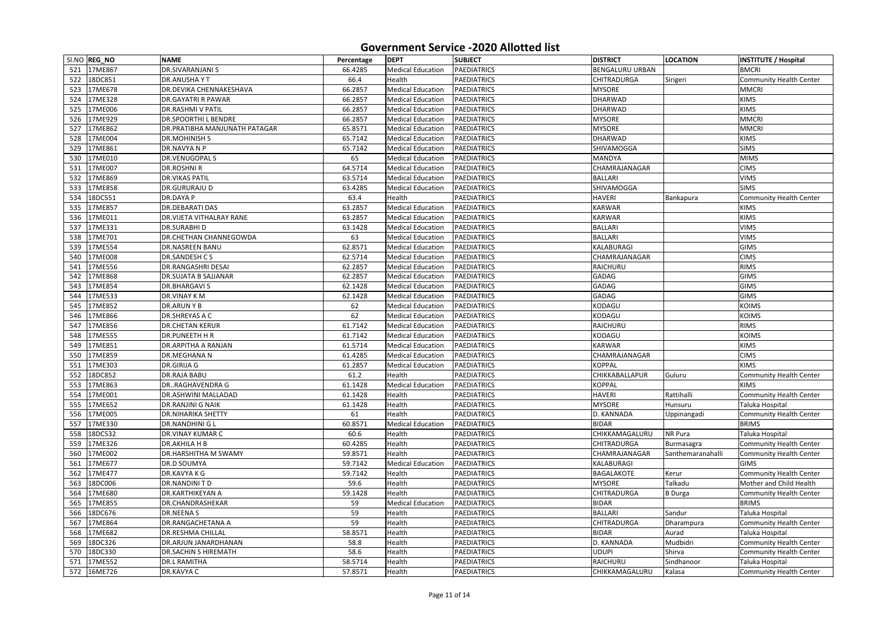|     | SI.NO REG_NO | <b>NAME</b>                     | Percentage | <b>DEPT</b>              | <b>SUBJECT</b>                           | <b>DISTRICT</b>        | <b>LOCATION</b>   | <b>INSTITUTE / Hospital</b>                       |
|-----|--------------|---------------------------------|------------|--------------------------|------------------------------------------|------------------------|-------------------|---------------------------------------------------|
|     | 521 17ME867  | <b>DR.SIVARANJANI S</b>         | 66.4285    | <b>Medical Education</b> | PAEDIATRICS                              | <b>BENGALURU URBAN</b> |                   | <b>BMCRI</b>                                      |
| 522 | 18DC851      | <b>DR.ANUSHAYT</b>              | 66.4       | Health                   | <b>PAEDIATRICS</b>                       | <b>CHITRADURGA</b>     | Sirigeri          | <b>Community Health Center</b>                    |
|     | 523 17ME678  | <b>DR.DEVIKA CHENNAKESHAVA</b>  | 66.2857    | <b>Medical Education</b> | PAEDIATRICS                              | <b>MYSORE</b>          |                   | <b>MMCRI</b>                                      |
| 524 | 17ME328      | <b>DR.GAYATRI R PAWAR</b>       | 66.2857    | <b>Medical Education</b> | PAEDIATRICS                              | <b>DHARWAD</b>         |                   | <b>KIMS</b>                                       |
| 525 | 17ME006      | <b>DR.RASHMI V PATIL</b>        | 66.2857    | <b>Medical Education</b> | PAEDIATRICS                              | DHARWAD                |                   | <b>KIMS</b>                                       |
| 526 | 17ME929      | <b>DR.SPOORTHI L BENDRE</b>     | 66.2857    | <b>Medical Education</b> | <b>PAEDIATRICS</b>                       | <b>MYSORE</b>          |                   | <b>MMCRI</b>                                      |
| 527 | 17ME862      | DR.PRATIBHA MANJUNATH PATAGAR   | 65.8571    | <b>Medical Education</b> | PAEDIATRICS                              | <b>MYSORE</b>          |                   | <b>MMCRI</b>                                      |
| 528 | 17ME004      | <b>DR.MOHINISH S</b>            | 65.7142    | <b>Medical Education</b> | PAEDIATRICS                              | <b>DHARWAD</b>         |                   | <b>KIMS</b>                                       |
| 529 | 17ME861      | DR.NAVYA N P                    | 65.7142    | <b>Medical Education</b> | PAEDIATRICS                              | SHIVAMOGGA             |                   | <b>SIMS</b>                                       |
| 530 | 17ME010      | <b>DR.VENUGOPALS</b>            | 65         | <b>Medical Education</b> | PAEDIATRICS                              | <b>MANDYA</b>          |                   | <b>MIMS</b>                                       |
| 531 | 17ME007      | <b>DR.ROSHNI R</b>              | 64.5714    | <b>Medical Education</b> | <b>PAEDIATRICS</b>                       | CHAMRAJANAGAR          |                   | <b>CIMS</b>                                       |
| 532 | 17ME869      | <b>DR.VIKAS PATIL</b>           | 63.5714    | <b>Medical Education</b> | <b>PAEDIATRICS</b>                       | <b>BALLARI</b>         |                   | <b>VIMS</b>                                       |
| 533 | 17ME858      | <b>DR.GURURAJU D</b>            | 63.4285    | <b>Medical Education</b> | <b>PAEDIATRICS</b>                       | SHIVAMOGGA             |                   | <b>SIMS</b>                                       |
| 534 | 18DC551      | <b>DR.DAYA P</b>                | 63.4       | Health                   | PAEDIATRICS                              | <b>HAVERI</b>          | Bankapura         | <b>Community Health Center</b>                    |
| 535 | 17ME857      | <b>DR.DEBARATI DAS</b>          | 63.2857    | <b>Medical Education</b> | <b>PAEDIATRICS</b>                       | <b>KARWAR</b>          |                   | <b>KIMS</b>                                       |
| 536 | 17ME011      | <b>DR.VIJETA VITHALRAY RANE</b> | 63.2857    | <b>Medical Education</b> | PAEDIATRICS                              | <b>KARWAR</b>          |                   | <b>KIMS</b>                                       |
| 537 | 17ME331      | <b>DR.SURABHI D</b>             | 63.1428    | <b>Medical Education</b> | <b>PAEDIATRICS</b>                       | <b>BALLARI</b>         |                   | <b>VIMS</b>                                       |
| 538 | 17ME701      | DR.CHETHAN CHANNEGOWDA          | 63         | <b>Medical Education</b> | PAEDIATRICS                              | <b>BALLARI</b>         |                   | <b>VIMS</b>                                       |
| 539 | 17ME554      | <b>DR.NASREEN BANU</b>          | 62.8571    | <b>Medical Education</b> | <b>PAEDIATRICS</b>                       | <b>KALABURAGI</b>      |                   | <b>GIMS</b>                                       |
| 540 | 17ME008      | <b>DR.SANDESH CS</b>            | 62.5714    | <b>Medical Education</b> | <b>PAEDIATRICS</b>                       | CHAMRAJANAGAR          |                   | <b>CIMS</b>                                       |
| 541 | 17ME556      | <b>DR.RANGASHRI DESAI</b>       | 62.2857    | <b>Medical Education</b> | PAEDIATRICS                              | RAICHURU               |                   | <b>RIMS</b>                                       |
| 542 | 17ME868      | <b>DR.SUJATA B SAJJANAR</b>     | 62.2857    | <b>Medical Education</b> | PAEDIATRICS                              | GADAG                  |                   | <b>GIMS</b>                                       |
| 543 | 17ME854      | <b>DR.BHARGAVIS</b>             | 62.1428    | <b>Medical Education</b> | PAEDIATRICS                              | <b>GADAG</b>           |                   | <b>GIMS</b>                                       |
| 544 | 17ME533      | <b>DR.VINAY KM</b>              | 62.1428    | <b>Medical Education</b> | <b>PAEDIATRICS</b>                       | <b>GADAG</b>           |                   | <b>GIMS</b>                                       |
| 545 | 17ME852      | <b>DR.ARUNYB</b>                | 62         | <b>Medical Education</b> | <b>PAEDIATRICS</b>                       | KODAGU                 |                   | <b>KOIMS</b>                                      |
| 546 | 17ME866      | DR.SHREYAS A C                  | 62         | <b>Medical Education</b> | PAEDIATRICS                              | KODAGU                 |                   | <b>KOIMS</b>                                      |
| 547 | 17ME856      | <b>DR.CHETAN KERUR</b>          | 61.7142    | <b>Medical Education</b> | PAEDIATRICS                              | RAICHURU               |                   | <b>RIMS</b>                                       |
| 548 | 17ME555      | <b>DR.PUNEETH H R</b>           | 61.7142    | <b>Medical Education</b> | PAEDIATRICS                              | KODAGU                 |                   | <b>KOIMS</b>                                      |
| 549 | 17ME851      | DR.ARPITHA A RANJAN             | 61.5714    | <b>Medical Education</b> | PAEDIATRICS                              | <b>KARWAR</b>          |                   | <b>KIMS</b>                                       |
|     | 550 17ME859  | DR.MEGHANA N                    | 61.4285    | <b>Medical Education</b> | PAEDIATRICS                              | CHAMRAJANAGAR          |                   | <b>CIMS</b>                                       |
|     | 551 17ME303  | <b>DR.GIRIJA G</b>              | 61.2857    | <b>Medical Education</b> | PAEDIATRICS                              | <b>KOPPAL</b>          |                   | <b>KIMS</b>                                       |
|     | 552 18DC852  | <b>DR.RAJA BABU</b>             | 61.2       | Health                   | PAEDIATRICS                              | <b>CHIKKABALLAPUR</b>  | Guluru            | <b>Community Health Center</b>                    |
|     | 553 17ME863  | <b>DRRAGHAVENDRA G</b>          | 61.1428    | <b>Medical Education</b> | PAEDIATRICS                              | <b>KOPPAL</b>          |                   | <b>KIMS</b>                                       |
| 554 | 17ME001      | DR.ASHWINI MALLADAD             | 61.1428    | Health                   | <b>PAEDIATRICS</b>                       | <b>HAVERI</b>          | Rattihalli        | <b>Community Health Center</b>                    |
|     | 555 17ME652  | <b>DR.RANJINI G NAIK</b>        | 61.1428    | Health                   | <b>PAEDIATRICS</b>                       | <b>MYSORE</b>          | Hunsuru           | Taluka Hospital                                   |
|     | 556 17ME005  | <b>DR.NIHARIKA SHETTY</b>       | 61         | Health                   | <b>PAEDIATRICS</b>                       | D. KANNADA             | Uppinangadi       | <b>Community Health Center</b>                    |
| 557 | 17ME330      | <b>DR.NANDHINI G L</b>          | 60.8571    | <b>Medical Education</b> | PAEDIATRICS                              | <b>BIDAR</b>           |                   | <b>BRIMS</b>                                      |
| 558 | 18DC532      | <b>DR.VINAY KUMAR C</b>         | 60.6       | Health                   | <b>PAEDIATRICS</b>                       | CHIKKAMAGALURU         | <b>NR Pura</b>    | Taluka Hospital                                   |
| 559 | 17ME326      | <b>DR.AKHILA H B</b>            | 60.4285    | Health                   | <b>PAEDIATRICS</b>                       | <b>CHITRADURGA</b>     | Burmasagra        | <b>Community Health Center</b>                    |
|     | 560 17ME002  | <b>DR.HARSHITHA M SWAMY</b>     | 59.8571    | Health                   | <b>PAEDIATRICS</b>                       | <b>CHAMRAJANAGAR</b>   | Santhemaranahalli | <b>Community Health Center</b>                    |
| 561 | 17ME677      | DR.D SOUMYA                     | 59.7142    | <b>Medical Education</b> | PAEDIATRICS                              | KALABURAGI             |                   | <b>GIMS</b>                                       |
|     | 562 17ME477  | <b>DR.KAVYAKG</b>               | 59.7142    | Health                   | <b>PAEDIATRICS</b>                       | <b>BAGALAKOTE</b>      | Kerur             | <b>Community Health Center</b>                    |
| 563 | 18DC006      | DR.NANDINITD                    | 59.6       | Health                   | <b>PAEDIATRICS</b>                       | <b>MYSORE</b>          | Talkadu           | Mother and Child Health                           |
| 564 | 17ME680      | <b>DR.KARTHIKEYAN A</b>         | 59.1428    | Health                   | <b>PAEDIATRICS</b>                       | <b>CHITRADURGA</b>     | <b>B</b> Durga    | <b>Community Health Center</b>                    |
| 565 | 17ME855      | DR.CHANDRASHEKAR                | 59         | <b>Medical Education</b> | <b>PAEDIATRICS</b>                       | <b>BIDAR</b>           |                   | <b>BRIMS</b>                                      |
| 566 | 18DC676      | <b>DR.NEENAS</b>                | 59         | Health                   | <b>PAEDIATRICS</b>                       | <b>BALLARI</b>         | Sandur            | Taluka Hospital                                   |
|     | 17ME864      | <b>DR.RANGACHETANA A</b>        |            | Health                   | <b>PAEDIATRICS</b>                       | <b>CHITRADURGA</b>     |                   |                                                   |
| 567 |              |                                 | 59         |                          |                                          | <b>BIDAR</b>           | Dharampura        | <b>Community Health Center</b>                    |
| 568 | 17ME682      | <b>DR.RESHMA CHILLAL</b>        | 58.8571    | Health<br>Health         | <b>PAEDIATRICS</b><br><b>PAEDIATRICS</b> | D. KANNADA             | Aurad<br>Mudbidri | Taluka Hospital<br><b>Community Health Center</b> |
| 569 | 18DC326      | DR.ARJUN JANARDHANAN            | 58.8       |                          |                                          |                        |                   |                                                   |
|     | 570 18DC330  | <b>DR.SACHIN S HIREMATH</b>     | 58.6       | Health                   | <b>PAEDIATRICS</b>                       | <b>UDUPI</b>           | Shirva            | Community Health Center                           |
| 571 | 17ME552      | <b>DR.L RAMITHA</b>             | 58.5714    | Health                   | <b>PAEDIATRICS</b>                       | RAICHURU               | Sindhanoor        | Taluka Hospital                                   |
|     | 572 16ME726  | DR.KAVYA C                      | 57.8571    | Health                   | <b>PAEDIATRICS</b>                       | CHIKKAMAGALURU         | Kalasa            | <b>Community Health Center</b>                    |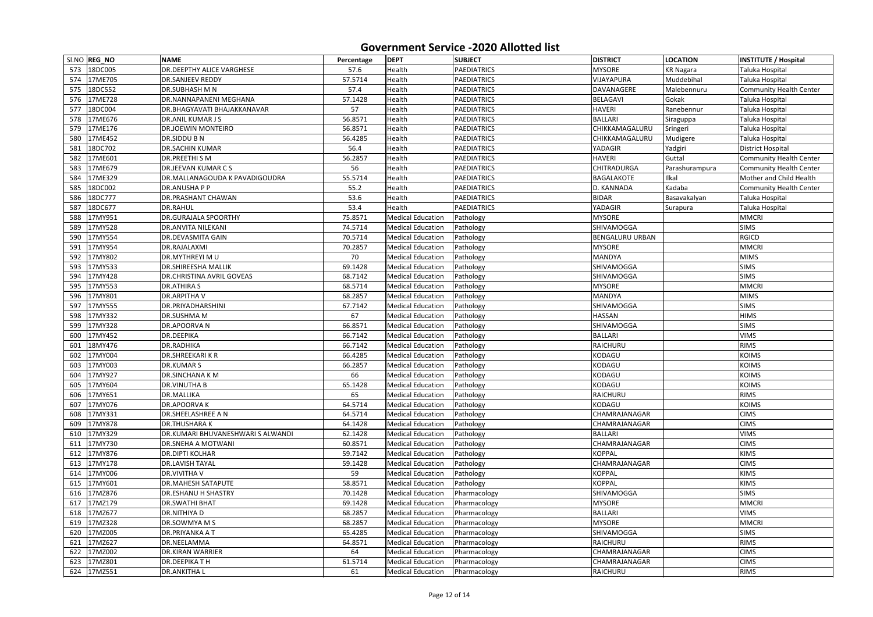|     | SI.NO REG_NO | <b>NAME</b>                       | Percentage | <b>DEPT</b>              | <b>SUBJECT</b>     | <b>DISTRICT</b>        | <b>LOCATION</b>  | <b>INSTITUTE / Hospital</b>    |
|-----|--------------|-----------------------------------|------------|--------------------------|--------------------|------------------------|------------------|--------------------------------|
|     | 573 18DC005  | <b>DR.DEEPTHY ALICE VARGHESE</b>  | 57.6       | Health                   | <b>PAEDIATRICS</b> | <b>MYSORE</b>          | <b>KR Nagara</b> | Taluka Hospital                |
| 574 | 17ME705      | <b>DR.SANJEEV REDDY</b>           | 57.5714    | Health                   | <b>PAEDIATRICS</b> | VIJAYAPURA             | Muddebihal       | Taluka Hospital                |
| 575 | 18DC552      | <b>DR.SUBHASH M N</b>             | 57.4       | Health                   | PAEDIATRICS        | DAVANAGERE             | Malebennuru      | <b>Community Health Center</b> |
| 576 | 17ME728      | DR.NANNAPANENI MEGHANA            | 57.1428    | Health                   | <b>PAEDIATRICS</b> | <b>BELAGAVI</b>        | Gokak            | Taluka Hospital                |
| 577 | 18DC004      | DR.BHAGYAVATI BHAJAKKANAVAR       | 57         | Health                   | <b>PAEDIATRICS</b> | <b>HAVERI</b>          | Ranebennur       | Taluka Hospital                |
| 578 | 17ME676      | DR.ANIL KUMAR J S                 | 56.8571    | Health                   | <b>PAEDIATRICS</b> | <b>BALLARI</b>         | Siraguppa        | Taluka Hospital                |
| 579 | 17ME176      | <b>DR.JOEWIN MONTEIRO</b>         | 56.8571    | Health                   | PAEDIATRICS        | CHIKKAMAGALURU         | Sringeri         | Taluka Hospital                |
| 580 | 17ME452      | DR.SIDDU B N                      | 56.4285    | Health                   | PAEDIATRICS        | CHIKKAMAGALURU         | Mudigere         | Taluka Hospital                |
| 581 | 18DC702      | <b>DR.SACHIN KUMAR</b>            | 56.4       | Health                   | <b>PAEDIATRICS</b> | YADAGIR                | Yadgiri          | <b>District Hospital</b>       |
| 582 | 17ME601      | <b>DR.PREETHI S M</b>             | 56.2857    | Health                   | <b>PAEDIATRICS</b> | <b>HAVERI</b>          | Guttal           | <b>Community Health Center</b> |
| 583 | 17ME679      | <b>DR.JEEVAN KUMAR CS</b>         | 56         | Health                   | <b>PAEDIATRICS</b> | <b>CHITRADURGA</b>     | Parashurampura   | <b>Community Health Center</b> |
| 584 | 17ME329      | DR.MALLANAGOUDA K PAVADIGOUDRA    | 55.5714    | Health                   | PAEDIATRICS        | <b>BAGALAKOTE</b>      | Ilkal            | Mother and Child Health        |
| 585 | 18DC002      | <b>DR.ANUSHAPP</b>                | 55.2       | Health                   | <b>PAEDIATRICS</b> | D. KANNADA             | Kadaba           | <b>Community Health Center</b> |
| 586 | 18DC777      | <b>DR.PRASHANT CHAWAN</b>         | 53.6       | Health                   | <b>PAEDIATRICS</b> | <b>BIDAR</b>           | Basavakalyan     | Taluka Hospital                |
| 587 | 18DC677      | <b>DR.RAHUL</b>                   | 53.4       | Health                   | <b>PAEDIATRICS</b> | YADAGIR                | Surapura         | Taluka Hospital                |
| 588 | 17MY951      | <b>DR.GURAJALA SPOORTHY</b>       | 75.8571    | <b>Medical Education</b> | Pathology          | <b>MYSORE</b>          |                  | <b>MMCRI</b>                   |
| 589 | 17MY528      | <b>DR.ANVITA NILEKANI</b>         | 74.5714    | <b>Medical Education</b> | Pathology          | <b>SHIVAMOGGA</b>      |                  | <b>SIMS</b>                    |
| 590 | 17MY554      | <b>DR.DEVASMITA GAIN</b>          | 70.5714    | <b>Medical Education</b> | Pathology          | <b>BENGALURU URBAN</b> |                  | <b>RGICD</b>                   |
| 591 | 17MY954      | DR.RAJALAXMI                      | 70.2857    | <b>Medical Education</b> | Pathology          | <b>MYSORE</b>          |                  | <b>MMCRI</b>                   |
| 592 | 17MY802      | <b>DR.MYTHREYI MU</b>             | 70         | <b>Medical Education</b> | Pathology          | <b>MANDYA</b>          |                  | <b>MIMS</b>                    |
| 593 | 17MY533      | <b>DR.SHIREESHA MALLIK</b>        | 69.1428    | <b>Medical Education</b> | Pathology          | <b>SHIVAMOGGA</b>      |                  | <b>SIMS</b>                    |
| 594 | 17MY428      | <b>DR.CHRISTINA AVRIL GOVEAS</b>  | 68.7142    | <b>Medical Education</b> | Pathology          | <b>SHIVAMOGGA</b>      |                  | <b>SIMS</b>                    |
| 595 | 17MY553      | <b>DR.ATHIRA S</b>                | 68.5714    | <b>Medical Education</b> | Pathology          | <b>MYSORE</b>          |                  | <b>MMCRI</b>                   |
| 596 | 17MY801      | <b>DR.ARPITHAV</b>                | 68.2857    | <b>Medical Education</b> | Pathology          | <b>MANDYA</b>          |                  | <b>MIMS</b>                    |
| 597 | 17MY555      | <b>DR.PRIYADHARSHINI</b>          | 67.7142    | <b>Medical Education</b> | Pathology          | <b>SHIVAMOGGA</b>      |                  | <b>SIMS</b>                    |
| 598 | 17MY332      | <b>DR.SUSHMA M</b>                | 67         | <b>Medical Education</b> | Pathology          | <b>HASSAN</b>          |                  | <b>HIMS</b>                    |
| 599 | 17MY328      | DR.APOORVA N                      | 66.8571    | <b>Medical Education</b> | Pathology          | <b>SHIVAMOGGA</b>      |                  | <b>SIMS</b>                    |
| 600 | 17MY452      | DR.DEEPIKA                        | 66.7142    | <b>Medical Education</b> | Pathology          | <b>BALLARI</b>         |                  | <b>VIMS</b>                    |
| 601 | 18MY476      | <b>DR.RADHIKA</b>                 | 66.7142    | <b>Medical Education</b> | Pathology          | RAICHURU               |                  | <b>RIMS</b>                    |
| 602 | 17MY004      | <b>DR.SHREEKARIKR</b>             | 66.4285    | <b>Medical Education</b> | Pathology          | KODAGU                 |                  | <b>KOIMS</b>                   |
|     | 603 17MY003  | <b>DR.KUMARS</b>                  | 66.2857    | <b>Medical Education</b> | Pathology          | KODAGU                 |                  | <b>KOIMS</b>                   |
|     | 604 17MY927  | <b>DR.SINCHANA K M</b>            | 66         | <b>Medical Education</b> | Pathology          | KODAGU                 |                  | <b>KOIMS</b>                   |
| 605 | 17MY604      | <b>DR.VINUTHA B</b>               | 65.1428    | <b>Medical Education</b> | Pathology          | KODAGU                 |                  | <b>KOIMS</b>                   |
| 606 | 17MY651      | DR.MALLIKA                        | 65         | <b>Medical Education</b> | Pathology          | RAICHURU               |                  | <b>RIMS</b>                    |
| 607 | 17MY076      | <b>DR.APOORVAK</b>                | 64.5714    | <b>Medical Education</b> | Pathology          | KODAGU                 |                  | <b>KOIMS</b>                   |
| 608 | 17MY331      | <b>DR.SHEELASHREE A N</b>         | 64.5714    | <b>Medical Education</b> | Pathology          | <b>CHAMRAJANAGAR</b>   |                  | <b>CIMS</b>                    |
| 609 | 17MY878      | <b>DR.THUSHARAK</b>               | 64.1428    | <b>Medical Education</b> | Pathology          | <b>CHAMRAJANAGAR</b>   |                  | <b>CIMS</b>                    |
| 610 | 17MY329      | DR.KUMARI BHUVANESHWARI S ALWANDI | 62.1428    | <b>Medical Education</b> | Pathology          | <b>BALLARI</b>         |                  | <b>VIMS</b>                    |
| 611 | 17MY730      | <b>DR.SNEHA A MOTWANI</b>         | 60.8571    | <b>Medical Education</b> | Pathology          | CHAMRAJANAGAR          |                  | <b>CIMS</b>                    |
| 612 | 17MY876      | <b>DR.DIPTI KOLHAR</b>            | 59.7142    | <b>Medical Education</b> | Pathology          | <b>KOPPAL</b>          |                  | <b>KIMS</b>                    |
|     | 613 17MY178  | <b>DR.LAVISH TAYAL</b>            | 59.1428    | <b>Medical Education</b> | Pathology          | <b>CHAMRAJANAGAR</b>   |                  | <b>CIMS</b>                    |
| 614 | 17MY006      | <b>DR.VIVITHAV</b>                | 59         | <b>Medical Education</b> | Pathology          | <b>KOPPAL</b>          |                  | <b>KIMS</b>                    |
| 615 | 17MY601      | <b>DR.MAHESH SATAPUTE</b>         | 58.8571    | <b>Medical Education</b> | Pathology          | <b>KOPPAL</b>          |                  | <b>KIMS</b>                    |
| 616 | 17MZ876      | <b>DR.ESHANU H SHASTRY</b>        | 70.1428    | <b>Medical Education</b> | Pharmacology       | <b>SHIVAMOGGA</b>      |                  | <b>SIMS</b>                    |
| 617 | 17MZ179      | <b>DR.SWATHI BHAT</b>             | 69.1428    | <b>Medical Education</b> | Pharmacology       | <b>MYSORE</b>          |                  | <b>MMCRI</b>                   |
| 618 | 17MZ677      | <b>DR.NITHIYAD</b>                | 68.2857    | <b>Medical Education</b> | Pharmacology       | <b>BALLARI</b>         |                  | <b>VIMS</b>                    |
| 619 | 17MZ328      | DR.SOWMYA M S                     | 68.2857    | <b>Medical Education</b> | Pharmacology       | <b>MYSORE</b>          |                  | <b>MMCRI</b>                   |
| 620 | 17MZ005      | <b>DR.PRIYANKA A T</b>            | 65.4285    | <b>Medical Education</b> | Pharmacology       | <b>SHIVAMOGGA</b>      |                  | <b>SIMS</b>                    |
| 621 | 17MZ627      | DR.NEELAMMA                       | 64.8571    | <b>Medical Education</b> | Pharmacology       | RAICHURU               |                  | <b>RIMS</b>                    |
| 622 | 17MZ002      | <b>DR.KIRAN WARRIER</b>           | 64         | <b>Medical Education</b> | Pharmacology       | CHAMRAJANAGAR          |                  | <b>CIMS</b>                    |
| 623 | 17MZ801      | <b>DR.DEEPIKATH</b>               | 61.5714    | <b>Medical Education</b> | Pharmacology       | CHAMRAJANAGAR          |                  | <b>CIMS</b>                    |
| 624 | 17MZ551      | <b>DR.ANKITHAL</b>                | 61         | <b>Medical Education</b> | Pharmacology       | RAICHURU               |                  | <b>RIMS</b>                    |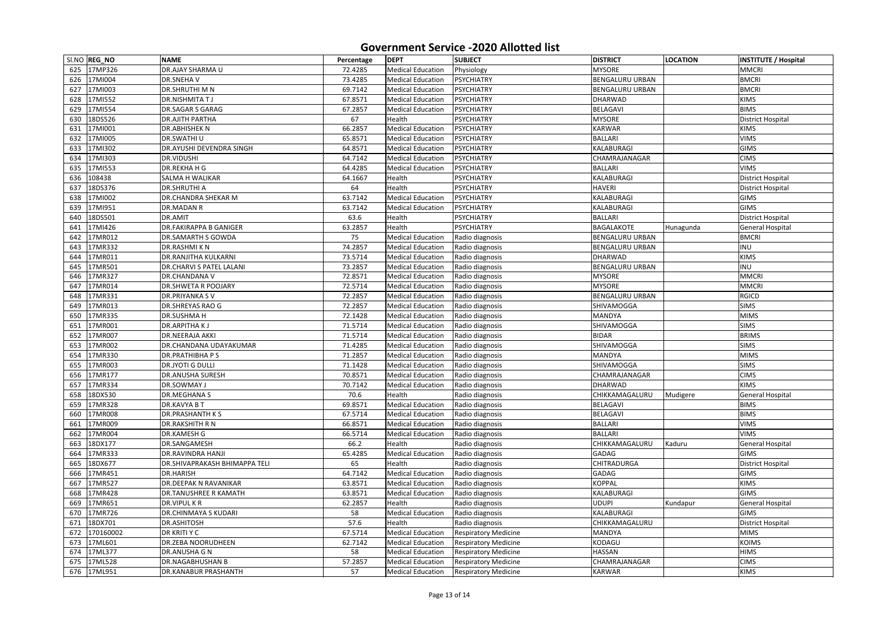|     | SI.NO REG_NO         | <b>NAME</b>                                      | Percentage | <b>DEPT</b>              | <b>SUBJECT</b>              | <b>DISTRICT</b>         | <b>LOCATION</b> | <b>INSTITUTE / Hospital</b> |
|-----|----------------------|--------------------------------------------------|------------|--------------------------|-----------------------------|-------------------------|-----------------|-----------------------------|
| 625 | 17MP326              | <b>DR.AJAY SHARMA U</b>                          | 72.4285    | <b>Medical Education</b> | Physiology                  | <b>MYSORE</b>           |                 | <b>MMCRI</b>                |
| 626 | 17MI004              | <b>DR.SNEHAV</b>                                 | 73.4285    | <b>Medical Education</b> | PSYCHIATRY                  | <b>BENGALURU URBAN</b>  |                 | <b>BMCRI</b>                |
| 627 | 17MI003              | <b>DR.SHRUTHI M N</b>                            | 69.7142    | <b>Medical Education</b> | <b>PSYCHIATRY</b>           | <b>BENGALURU URBAN</b>  |                 | <b>BMCRI</b>                |
| 628 | 17MI552              | <b>DR.NISHMITATJ</b>                             | 67.8571    | <b>Medical Education</b> | <b>PSYCHIATRY</b>           | <b>DHARWAD</b>          |                 | <b>KIMS</b>                 |
| 629 | 17MI554              | <b>DR.SAGAR S GARAG</b>                          | 67.2857    | <b>Medical Education</b> | <b>PSYCHIATRY</b>           | <b>BELAGAVI</b>         |                 | <b>BIMS</b>                 |
| 630 | 18DS526              | <b>DR.AJITH PARTHA</b>                           | 67         | Health                   | <b>PSYCHIATRY</b>           | <b>MYSORE</b>           |                 | <b>District Hospital</b>    |
| 631 | 17MI001              | <b>DR.ABHISHEK N</b>                             | 66.2857    | <b>Medical Education</b> | PSYCHIATRY                  | <b>KARWAR</b>           |                 | <b>KIMS</b>                 |
| 632 | 17MI005              | <b>DR.SWATHI U</b>                               | 65.8571    | <b>Medical Education</b> | <b>PSYCHIATRY</b>           | <b>BALLARI</b>          |                 | <b>VIMS</b>                 |
| 633 | 17MI302              | <b>DR.AYUSHI DEVENDRA SINGH</b>                  | 64.8571    | <b>Medical Education</b> | PSYCHIATRY                  | <b>KALABURAGI</b>       |                 | <b>GIMS</b>                 |
| 634 | 17MI303              | <b>DR.VIDUSHI</b>                                | 64.7142    | <b>Medical Education</b> | PSYCHIATRY                  | CHAMRAJANAGAR           |                 | <b>CIMS</b>                 |
| 635 | 17MI553              | <b>DR.REKHA H G</b>                              | 64.4285    | <b>Medical Education</b> | <b>PSYCHIATRY</b>           | <b>BALLARI</b>          |                 | <b>VIMS</b>                 |
| 636 | 108438               | <b>SALMA H WALIKAR</b>                           | 64.1667    | Health                   | <b>PSYCHIATRY</b>           | KALABURAGI              |                 | <b>District Hospital</b>    |
| 637 | 18DS376              | <b>DR.SHRUTHI A</b>                              | 64         | Health                   | <b>PSYCHIATRY</b>           | <b>HAVERI</b>           |                 | <b>District Hospital</b>    |
| 638 | 17MI002              | <b>DR.CHANDRA SHEKAR M</b>                       | 63.7142    | <b>Medical Education</b> | <b>PSYCHIATRY</b>           | <b>KALABURAGI</b>       |                 | <b>GIMS</b>                 |
| 639 | 17MI951              | <b>DR.MADAN R</b>                                | 63.7142    | <b>Medical Education</b> | PSYCHIATRY                  | KALABURAGI              |                 | <b>GIMS</b>                 |
| 640 | 18DS501              | DR.AMIT                                          | 63.6       | Health                   | <b>PSYCHIATRY</b>           | <b>BALLARI</b>          |                 | <b>District Hospital</b>    |
| 641 | 17MI426              | <b>DR.FAKIRAPPA B GANIGER</b>                    | 63.2857    | Health                   | <b>PSYCHIATRY</b>           | BAGALAKOTE              | Hunagunda       | <b>General Hospital</b>     |
| 642 | 17MR012              | <b>DR.SAMARTH S GOWDA</b>                        | 75         | <b>Medical Education</b> | Radio diagnosis             | <b>BENGALURU URBAN</b>  |                 | <b>BMCRI</b>                |
| 643 | 17MR332              | <b>DR.RASHMIKN</b>                               | 74.2857    | <b>Medical Education</b> | Radio diagnosis             | <b>BENGALURU URBAN</b>  |                 | <b>INU</b>                  |
| 644 | 17MR011              | <b>DR.RANJITHA KULKARNI</b>                      | 73.5714    | <b>Medical Education</b> | Radio diagnosis             | <b>DHARWAD</b>          |                 | <b>KIMS</b>                 |
| 645 | 17MR501              | <b>DR.CHARVI S PATEL LALANI</b>                  | 73.2857    | <b>Medical Education</b> | Radio diagnosis             | <b>BENGALURU URBAN</b>  |                 | <b>INU</b>                  |
| 646 | 17MR327              | <b>DR.CHANDANA V</b>                             | 72.8571    | <b>Medical Education</b> | Radio diagnosis             | <b>MYSORE</b>           |                 | <b>MMCRI</b>                |
| 647 | 17MR014              | <b>DR.SHWETA R POOJARY</b>                       | 72.5714    | <b>Medical Education</b> | Radio diagnosis             | <b>MYSORE</b>           |                 | <b>MMCRI</b>                |
| 648 | 17MR331              | <b>DR.PRIYANKA SV</b>                            | 72.2857    | <b>Medical Education</b> | Radio diagnosis             | <b>BENGALURU URBAN</b>  |                 | <b>RGICD</b>                |
| 649 | 17MR013              | <b>DR.SHREYAS RAO G</b>                          | 72.2857    | <b>Medical Education</b> | Radio diagnosis             | SHIVAMOGGA              |                 | <b>SIMS</b>                 |
| 650 | 17MR335              | <b>DR.SUSHMA H</b>                               | 72.1428    | <b>Medical Education</b> | Radio diagnosis             | <b>MANDYA</b>           |                 | <b>MIMS</b>                 |
| 651 | 17MR001              | <b>DR.ARPITHAKJ</b>                              | 71.5714    | <b>Medical Education</b> | Radio diagnosis             | <b>SHIVAMOGGA</b>       |                 | <b>SIMS</b>                 |
| 652 | 17MR007              | <b>DR.NEERAJA AKKI</b>                           | 71.5714    | <b>Medical Education</b> | Radio diagnosis             | <b>BIDAR</b>            |                 | <b>BRIMS</b>                |
| 653 | 17MR002              | <b>DR.CHANDANA UDAYAKUMAR</b>                    | 71.4285    | <b>Medical Education</b> | Radio diagnosis             | <b>SHIVAMOGGA</b>       |                 | <b>SIMS</b>                 |
| 654 | 17MR330              | <b>DR.PRATHIBHA PS</b>                           | 71.2857    | <b>Medical Education</b> | Radio diagnosis             | <b>MANDYA</b>           |                 | <b>MIMS</b>                 |
|     | 655 17MR003          | <b>DR.JYOTI G DULLI</b>                          | 71.1428    | <b>Medical Education</b> | Radio diagnosis             | <b>SHIVAMOGGA</b>       |                 | <b>SIMS</b>                 |
| 656 | 17MR177              | <b>DR.ANUSHA SURESH</b>                          | 70.8571    | <b>Medical Education</b> | Radio diagnosis             | CHAMRAJANAGAR           |                 | <b>CIMS</b>                 |
| 657 | 17MR334              | <b>DR.SOWMAY J</b>                               | 70.7142    | <b>Medical Education</b> | Radio diagnosis             | <b>DHARWAD</b>          |                 | <b>KIMS</b>                 |
| 658 | 18DX530              | <b>DR.MEGHANA S</b>                              | 70.6       | Health                   | Radio diagnosis             | CHIKKAMAGALURU          | Mudigere        | <b>General Hospital</b>     |
| 659 | 17MR328              | <b>DR.KAVYA BT</b>                               | 69.8571    | <b>Medical Education</b> | Radio diagnosis             | BELAGAVI                |                 | <b>BIMS</b>                 |
| 660 | 17MR008              | <b>DR.PRASHANTH KS</b>                           | 67.5714    | <b>Medical Education</b> | Radio diagnosis             | <b>BELAGAVI</b>         |                 | <b>BIMS</b>                 |
| 661 | 17MR009              | <b>DR.RAKSHITH R N</b>                           | 66.8571    | <b>Medical Education</b> | Radio diagnosis             | <b>BALLARI</b>          |                 | <b>VIMS</b>                 |
| 662 | 17MR004              | <b>DR.KAMESH G</b>                               | 66.5714    | <b>Medical Education</b> | Radio diagnosis             | <b>BALLARI</b>          |                 | <b>VIMS</b>                 |
| 663 | 18DX177              | DR.SANGAMESH                                     | 66.2       | Health                   | Radio diagnosis             | CHIKKAMAGALURU          | Kaduru          | <b>General Hospital</b>     |
| 664 | 17MR333              | <b>DR.RAVINDRA HANJI</b>                         | 65.4285    | <b>Medical Education</b> | Radio diagnosis             | <b>GADAG</b>            |                 | <b>GIMS</b>                 |
| 665 | 18DX677              | DR.SHIVAPRAKASH BHIMAPPA TELI                    | 65         | Health                   | Radio diagnosis             | <b>CHITRADURGA</b>      |                 | <b>District Hospital</b>    |
| 666 | 17MR451              | <b>DR.HARISH</b>                                 | 64.7142    | <b>Medical Education</b> | Radio diagnosis             | <b>GADAG</b>            |                 | <b>GIMS</b>                 |
| 667 | 17MR527              | <b>DR.DEEPAK N RAVANIKAR</b>                     | 63.8571    | <b>Medical Education</b> | Radio diagnosis             | <b>KOPPAL</b>           |                 | <b>KIMS</b>                 |
| 668 | 17MR428              | <b>DR.TANUSHREE R KAMATH</b>                     | 63.8571    | <b>Medical Education</b> | Radio diagnosis             | KALABURAGI              |                 | <b>GIMS</b>                 |
| 669 | 17MR651              | <b>DR.VIPULKR</b>                                | 62.2857    | Health                   | Radio diagnosis             | <b>UDUPI</b>            | Kundapur        | <b>General Hospital</b>     |
| 670 | 17MR726              | <b>DR.CHINMAYA S KUDARI</b>                      | 58         | <b>Medical Education</b> | Radio diagnosis             | <b>KALABURAGI</b>       |                 | <b>GIMS</b>                 |
|     | 18DX701              | <b>DR.ASHITOSH</b>                               |            | Health                   |                             | CHIKKAMAGALURU          |                 |                             |
| 671 |                      |                                                  | 57.6       |                          | Radio diagnosis             |                         |                 | <b>District Hospital</b>    |
| 672 | 170160002<br>17ML601 | <b>DR KRITI Y C</b><br><b>DR.ZEBA NOORUDHEEN</b> | 67.5714    | <b>Medical Education</b> | <b>Respiratory Medicine</b> | <b>MANDYA</b><br>KODAGU |                 | <b>MIMS</b><br><b>KOIMS</b> |
| 673 |                      |                                                  | 62.7142    | <b>Medical Education</b> | <b>Respiratory Medicine</b> |                         |                 |                             |
| 674 | 17ML377              | <b>DR.ANUSHA G N</b>                             | 58         | <b>Medical Education</b> | <b>Respiratory Medicine</b> | <b>HASSAN</b>           |                 | <b>HIMS</b>                 |
| 675 | 17ML528              | <b>DR.NAGABHUSHAN B</b>                          | 57.2857    | <b>Medical Education</b> | <b>Respiratory Medicine</b> | CHAMRAJANAGAR           |                 | <b>CIMS</b>                 |
|     | 676 17ML951          | <b>DR.KANABUR PRASHANTH</b>                      | 57         | <b>Medical Education</b> | <b>Respiratory Medicine</b> | <b>KARWAR</b>           |                 | <b>KIMS</b>                 |